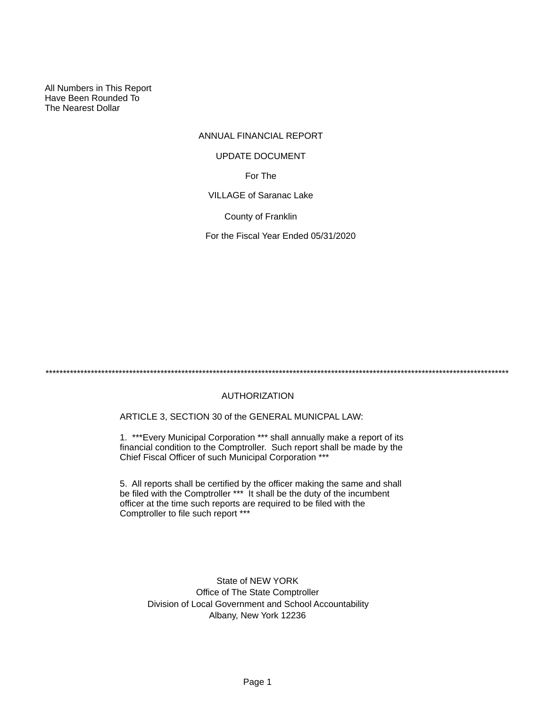All Numbers in This Report Have Been Rounded To The Nearest Dollar

## ANNUAL FINANCIAL REPORT

#### UPDATE DOCUMENT

For The

VILLAGE of Saranac Lake

County of Franklin

For the Fiscal Year Ended 05/31/2020

\*\*\*\*\*\*\*\*\*\*\*\*\*\*\*\*\*\*\*\*\*\*\*\*\*\*\*\*\*\*\*\*\*\*\*\*\*\*\*\*\*\*\*\*\*\*\*\*\*\*\*\*\*\*\*\*\*\*\*\*\*\*\*\*\*\*\*\*\*\*\*\*\*\*\*\*\*\*\*\*\*\*\*\*\*\*\*\*\*\*\*\*\*\*\*\*\*\*\*\*\*\*\*\*\*\*\*\*\*\*\*\*\*\*\*\*\*\*\*\*\*\*\*\*\*\*\*\*\*\*\*\*\*

## AUTHORIZATION

ARTICLE 3, SECTION 30 of the GENERAL MUNICPAL LAW:

1. \*\*\*Every Municipal Corporation \*\*\* shall annually make a report of its financial condition to the Comptroller. Such report shall be made by the Chief Fiscal Officer of such Municipal Corporation \*\*\*

5. All reports shall be certified by the officer making the same and shall be filed with the Comptroller \*\*\* It shall be the duty of the incumbent officer at the time such reports are required to be filed with the Comptroller to file such report \*\*\*

State of NEW YORK Office of The State Comptroller Division of Local Government and School Accountability Albany, New York 12236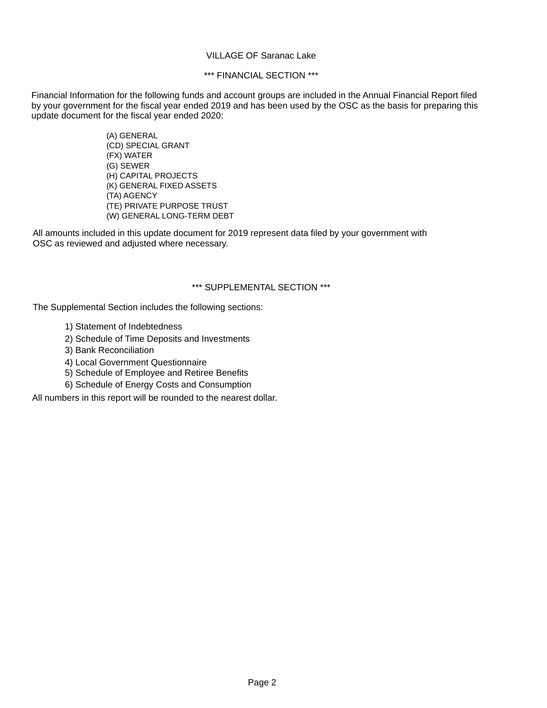### VILLAGE OF Saranac Lake

### \*\*\* FINANCIAL SECTION \*\*\*

Financial Information for the following funds and account groups are included in the Annual Financial Report filed by your government for the fiscal year ended 2019 and has been used by the OSC as the basis for preparing this update document for the fiscal year ended 2020:

> (A) GENERAL (CD) SPECIAL GRANT (FX) WATER (G) SEWER (H) CAPITAL PROJECTS (K) GENERAL FIXED ASSETS (TA) AGENCY (TE) PRIVATE PURPOSE TRUST (W) GENERAL LONG-TERM DEBT

All amounts included in this update document for 2019 represent data filed by your government with OSC as reviewed and adjusted where necessary.

### \*\*\* SUPPLEMENTAL SECTION \*\*\*

The Supplemental Section includes the following sections:

- 1) Statement of Indebtedness
- 2) Schedule of Time Deposits and Investments
- 3) Bank Reconciliation
- 4) Local Government Questionnaire
- 5) Schedule of Employee and Retiree Benefits
- 6) Schedule of Energy Costs and Consumption

All numbers in this report will be rounded to the nearest dollar.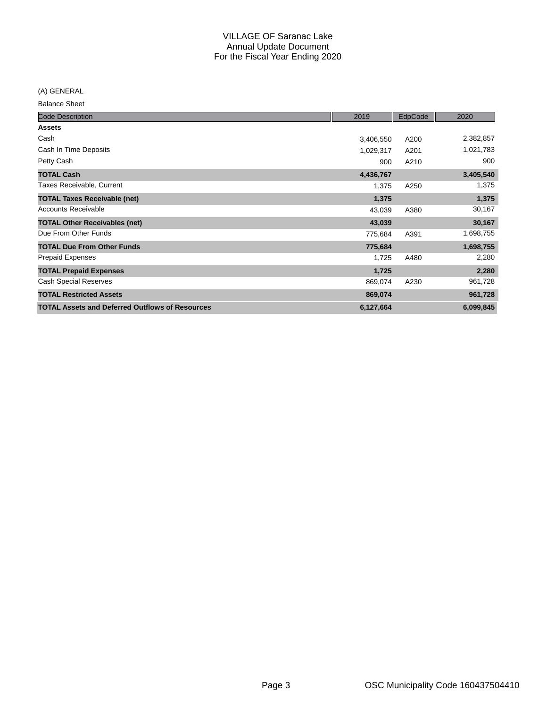(A) GENERAL

Balance Sheet

| <b>Code Description</b>                                | 2019      | EdpCode | 2020      |
|--------------------------------------------------------|-----------|---------|-----------|
| <b>Assets</b>                                          |           |         |           |
| Cash                                                   | 3,406,550 | A200    | 2,382,857 |
| Cash In Time Deposits                                  | 1,029,317 | A201    | 1,021,783 |
| Petty Cash                                             | 900       | A210    | 900       |
| <b>TOTAL Cash</b>                                      | 4,436,767 |         | 3,405,540 |
| Taxes Receivable, Current                              | 1,375     | A250    | 1,375     |
| <b>TOTAL Taxes Receivable (net)</b>                    | 1,375     |         | 1,375     |
| <b>Accounts Receivable</b>                             | 43,039    | A380    | 30,167    |
| <b>TOTAL Other Receivables (net)</b>                   | 43,039    |         | 30,167    |
| Due From Other Funds                                   | 775,684   | A391    | 1,698,755 |
| <b>TOTAL Due From Other Funds</b>                      | 775,684   |         | 1,698,755 |
| <b>Prepaid Expenses</b>                                | 1,725     | A480    | 2,280     |
| <b>TOTAL Prepaid Expenses</b>                          | 1,725     |         | 2,280     |
| <b>Cash Special Reserves</b>                           | 869,074   | A230    | 961,728   |
| <b>TOTAL Restricted Assets</b>                         | 869,074   |         | 961,728   |
| <b>TOTAL Assets and Deferred Outflows of Resources</b> | 6,127,664 |         | 6,099,845 |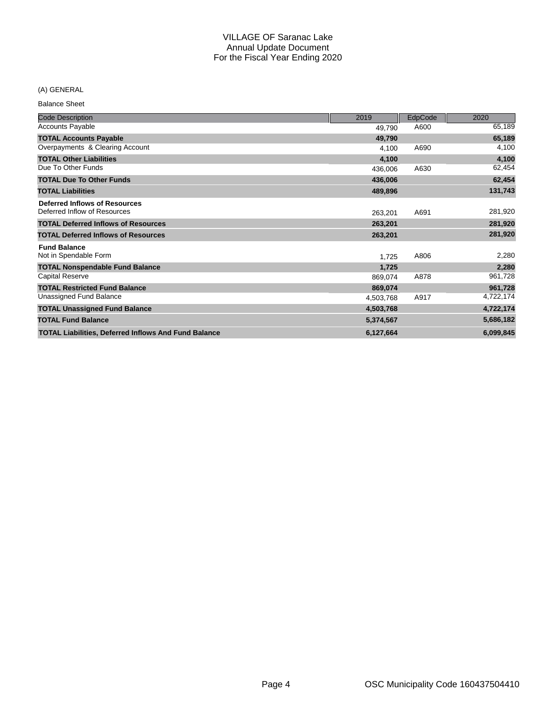## (A) GENERAL

Balance Sheet

| <b>Code Description</b>                                     | 2019      | EdpCode | 2020      |
|-------------------------------------------------------------|-----------|---------|-----------|
| <b>Accounts Payable</b>                                     | 49,790    | A600    | 65,189    |
| <b>TOTAL Accounts Payable</b>                               | 49,790    |         | 65,189    |
| Overpayments & Clearing Account                             | 4,100     | A690    | 4,100     |
| <b>TOTAL Other Liabilities</b>                              | 4,100     |         | 4,100     |
| Due To Other Funds                                          | 436,006   | A630    | 62,454    |
| <b>TOTAL Due To Other Funds</b>                             | 436,006   |         | 62,454    |
| <b>TOTAL Liabilities</b>                                    | 489,896   |         | 131,743   |
| <b>Deferred Inflows of Resources</b>                        |           |         |           |
| Deferred Inflow of Resources                                | 263,201   | A691    | 281,920   |
| <b>TOTAL Deferred Inflows of Resources</b>                  | 263,201   |         | 281,920   |
| <b>TOTAL Deferred Inflows of Resources</b>                  | 263,201   |         | 281,920   |
| <b>Fund Balance</b>                                         |           |         |           |
| Not in Spendable Form                                       | 1,725     | A806    | 2,280     |
| <b>TOTAL Nonspendable Fund Balance</b>                      | 1,725     |         | 2,280     |
| <b>Capital Reserve</b>                                      | 869,074   | A878    | 961,728   |
| <b>TOTAL Restricted Fund Balance</b>                        | 869,074   |         | 961,728   |
| Unassigned Fund Balance                                     | 4,503,768 | A917    | 4,722,174 |
| <b>TOTAL Unassigned Fund Balance</b>                        | 4,503,768 |         | 4,722,174 |
| <b>TOTAL Fund Balance</b>                                   | 5,374,567 |         | 5,686,182 |
| <b>TOTAL Liabilities, Deferred Inflows And Fund Balance</b> | 6,127,664 |         | 6,099,845 |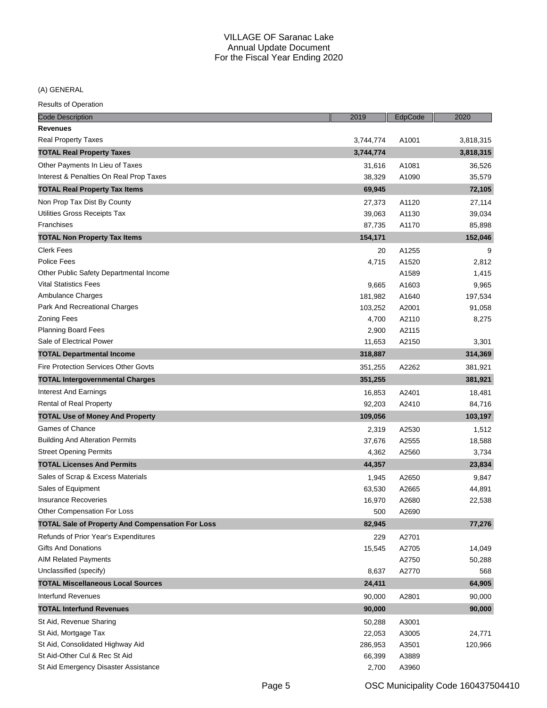(A) GENERAL

| <b>Code Description</b>                                 | 2019      | EdpCode | 2020      |
|---------------------------------------------------------|-----------|---------|-----------|
| <b>Revenues</b>                                         |           |         |           |
| Real Property Taxes                                     | 3,744,774 | A1001   | 3,818,315 |
| <b>TOTAL Real Property Taxes</b>                        | 3,744,774 |         | 3,818,315 |
| Other Payments In Lieu of Taxes                         | 31,616    | A1081   | 36,526    |
| Interest & Penalties On Real Prop Taxes                 | 38,329    | A1090   | 35,579    |
| <b>TOTAL Real Property Tax Items</b>                    | 69,945    |         | 72,105    |
| Non Prop Tax Dist By County                             | 27,373    | A1120   | 27,114    |
| Utilities Gross Receipts Tax                            | 39,063    | A1130   | 39,034    |
| Franchises                                              | 87,735    | A1170   | 85,898    |
| <b>TOTAL Non Property Tax Items</b>                     | 154,171   |         | 152,046   |
| <b>Clerk Fees</b>                                       | 20        | A1255   | 9         |
| Police Fees                                             | 4,715     | A1520   | 2,812     |
| Other Public Safety Departmental Income                 |           | A1589   | 1,415     |
| <b>Vital Statistics Fees</b>                            | 9,665     | A1603   | 9,965     |
| Ambulance Charges                                       | 181,982   | A1640   | 197,534   |
| Park And Recreational Charges                           | 103,252   | A2001   | 91,058    |
| <b>Zoning Fees</b>                                      | 4,700     | A2110   | 8,275     |
| <b>Planning Board Fees</b>                              | 2,900     | A2115   |           |
| Sale of Electrical Power                                | 11,653    | A2150   | 3,301     |
| <b>TOTAL Departmental Income</b>                        | 318,887   |         | 314,369   |
| <b>Fire Protection Services Other Govts</b>             | 351,255   | A2262   | 381,921   |
| <b>TOTAL Intergovernmental Charges</b>                  | 351,255   |         | 381,921   |
| Interest And Earnings                                   | 16,853    | A2401   | 18,481    |
| Rental of Real Property                                 | 92,203    | A2410   | 84,716    |
| <b>TOTAL Use of Money And Property</b>                  | 109,056   |         | 103,197   |
| Games of Chance                                         | 2,319     | A2530   | 1,512     |
| <b>Building And Alteration Permits</b>                  | 37,676    | A2555   | 18,588    |
| <b>Street Opening Permits</b>                           | 4,362     | A2560   | 3,734     |
| <b>TOTAL Licenses And Permits</b>                       | 44,357    |         | 23,834    |
| Sales of Scrap & Excess Materials                       | 1,945     | A2650   | 9,847     |
| Sales of Equipment                                      | 63,530    | A2665   | 44,891    |
| <b>Insurance Recoveries</b>                             | 16,970    | A2680   | 22,538    |
| Other Compensation For Loss                             | 500       | A2690   |           |
| <b>TOTAL Sale of Property And Compensation For Loss</b> | 82,945    |         | 77,276    |
| Refunds of Prior Year's Expenditures                    | 229       | A2701   |           |
| <b>Gifts And Donations</b>                              | 15,545    | A2705   | 14,049    |
| <b>AIM Related Payments</b>                             |           | A2750   | 50,288    |
| Unclassified (specify)                                  | 8,637     | A2770   | 568       |
| <b>TOTAL Miscellaneous Local Sources</b>                | 24,411    |         | 64,905    |
| Interfund Revenues                                      | 90,000    | A2801   | 90,000    |
| <b>TOTAL Interfund Revenues</b>                         | 90,000    |         | 90,000    |
| St Aid, Revenue Sharing                                 | 50,288    | A3001   |           |
| St Aid, Mortgage Tax                                    | 22,053    | A3005   | 24,771    |
| St Aid, Consolidated Highway Aid                        | 286,953   | A3501   | 120,966   |
| St Aid-Other Cul & Rec St Aid                           | 66,399    | A3889   |           |
| St Aid Emergency Disaster Assistance                    | 2,700     | A3960   |           |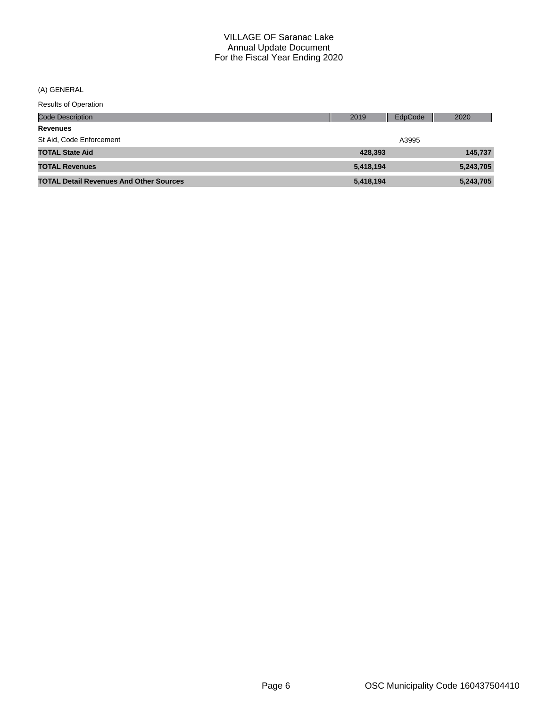(A) GENERAL

| <b>Results of Operation</b> |  |
|-----------------------------|--|
|-----------------------------|--|

| <b>Code Description</b>                        | 2019      | EdpCode | 2020      |
|------------------------------------------------|-----------|---------|-----------|
| <b>Revenues</b>                                |           |         |           |
| St Aid, Code Enforcement                       |           | A3995   |           |
| <b>TOTAL State Aid</b>                         | 428.393   |         | 145,737   |
| <b>TOTAL Revenues</b>                          | 5,418,194 |         | 5,243,705 |
| <b>TOTAL Detail Revenues And Other Sources</b> | 5,418,194 |         | 5,243,705 |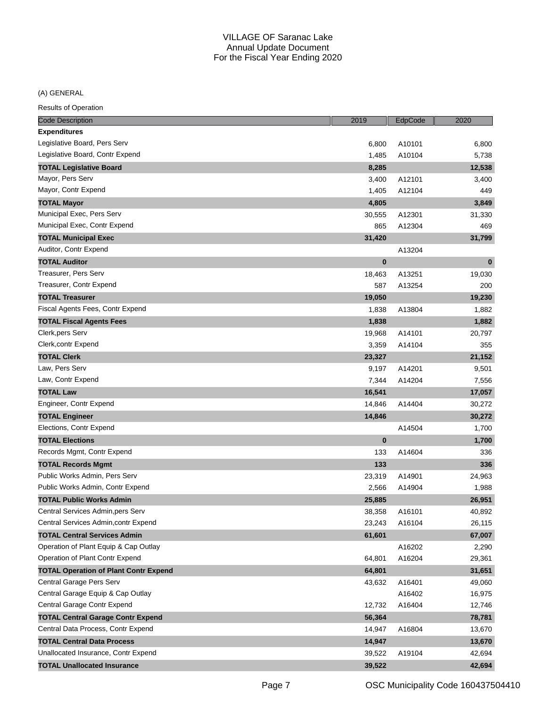(A) GENERAL

| <b>Code Description</b>                      | 2019     | EdpCode | 2020     |
|----------------------------------------------|----------|---------|----------|
| <b>Expenditures</b>                          |          |         |          |
| Legislative Board, Pers Serv                 | 6,800    | A10101  | 6,800    |
| Legislative Board, Contr Expend              | 1,485    | A10104  | 5,738    |
| <b>TOTAL Legislative Board</b>               | 8,285    |         | 12,538   |
| Mayor, Pers Serv                             | 3,400    | A12101  | 3,400    |
| Mayor, Contr Expend                          | 1,405    | A12104  | 449      |
| <b>TOTAL Mayor</b>                           | 4,805    |         | 3,849    |
| Municipal Exec, Pers Serv                    | 30,555   | A12301  | 31,330   |
| Municipal Exec, Contr Expend                 | 865      | A12304  | 469      |
| <b>TOTAL Municipal Exec</b>                  | 31,420   |         | 31,799   |
| Auditor, Contr Expend                        |          | A13204  |          |
| <b>TOTAL Auditor</b>                         | $\bf{0}$ |         | $\bf{0}$ |
| Treasurer, Pers Serv                         | 18,463   | A13251  | 19,030   |
| Treasurer, Contr Expend                      | 587      | A13254  | 200      |
| <b>TOTAL Treasurer</b>                       | 19,050   |         | 19,230   |
| Fiscal Agents Fees, Contr Expend             | 1,838    | A13804  | 1,882    |
| <b>TOTAL Fiscal Agents Fees</b>              | 1,838    |         | 1,882    |
| Clerk, pers Serv                             | 19,968   | A14101  | 20,797   |
| Clerk, contr Expend                          | 3,359    | A14104  | 355      |
| <b>TOTAL Clerk</b>                           | 23,327   |         | 21,152   |
| Law, Pers Serv                               | 9,197    | A14201  | 9,501    |
| Law, Contr Expend                            | 7,344    | A14204  | 7,556    |
| <b>TOTAL Law</b>                             | 16,541   |         | 17,057   |
| Engineer, Contr Expend                       | 14,846   | A14404  | 30,272   |
| <b>TOTAL Engineer</b>                        | 14,846   |         | 30,272   |
| Elections, Contr Expend                      |          | A14504  | 1,700    |
| <b>TOTAL Elections</b>                       | $\bf{0}$ |         | 1,700    |
| Records Mgmt, Contr Expend                   | 133      | A14604  | 336      |
| <b>TOTAL Records Mgmt</b>                    | 133      |         | 336      |
| Public Works Admin, Pers Serv                | 23,319   | A14901  | 24,963   |
| Public Works Admin, Contr Expend             | 2,566    | A14904  | 1,988    |
| <b>TOTAL Public Works Admin</b>              | 25,885   |         | 26,951   |
| Central Services Admin, pers Serv            | 38,358   | A16101  | 40,892   |
| Central Services Admin, contr Expend         | 23,243   | A16104  | 26,115   |
| <b>TOTAL Central Services Admin</b>          | 61,601   |         | 67,007   |
| Operation of Plant Equip & Cap Outlay        |          | A16202  | 2,290    |
| Operation of Plant Contr Expend              | 64,801   | A16204  | 29,361   |
| <b>TOTAL Operation of Plant Contr Expend</b> | 64,801   |         | 31,651   |
| Central Garage Pers Serv                     | 43,632   | A16401  | 49,060   |
| Central Garage Equip & Cap Outlay            |          | A16402  | 16,975   |
| Central Garage Contr Expend                  | 12,732   | A16404  | 12,746   |
| <b>TOTAL Central Garage Contr Expend</b>     | 56,364   |         | 78,781   |
| Central Data Process, Contr Expend           | 14,947   | A16804  | 13,670   |
| <b>TOTAL Central Data Process</b>            | 14,947   |         | 13,670   |
| Unallocated Insurance, Contr Expend          | 39,522   | A19104  | 42,694   |
| <b>TOTAL Unallocated Insurance</b>           | 39,522   |         | 42,694   |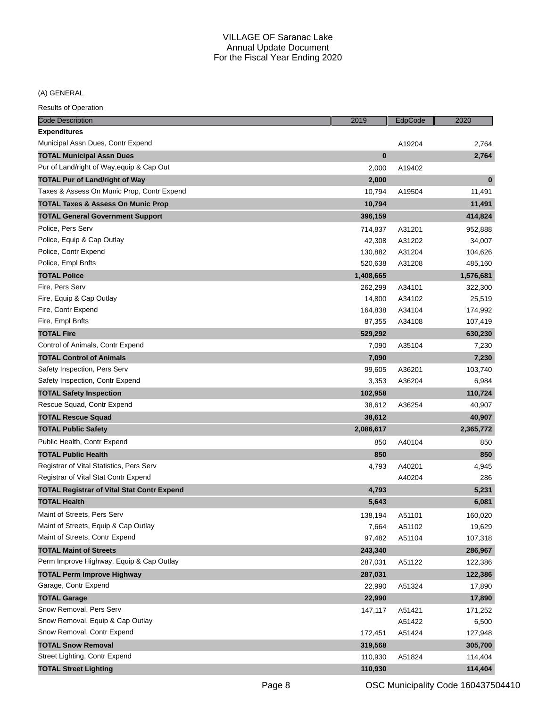(A) GENERAL

| Code Description                                  | 2019      | EdpCode | 2020      |
|---------------------------------------------------|-----------|---------|-----------|
| <b>Expenditures</b>                               |           |         |           |
| Municipal Assn Dues, Contr Expend                 |           | A19204  | 2,764     |
| <b>TOTAL Municipal Assn Dues</b>                  | $\bf{0}$  |         | 2,764     |
| Pur of Land/right of Way, equip & Cap Out         | 2,000     | A19402  |           |
| <b>TOTAL Pur of Land/right of Way</b>             | 2,000     |         | $\bf{0}$  |
| Taxes & Assess On Munic Prop, Contr Expend        | 10,794    | A19504  | 11,491    |
| <b>TOTAL Taxes &amp; Assess On Munic Prop</b>     | 10,794    |         | 11,491    |
| <b>TOTAL General Government Support</b>           | 396,159   |         | 414,824   |
| Police, Pers Serv                                 | 714,837   | A31201  | 952,888   |
| Police, Equip & Cap Outlay                        | 42,308    | A31202  | 34,007    |
| Police, Contr Expend                              | 130,882   | A31204  | 104,626   |
| Police, Empl Bnfts                                | 520,638   | A31208  | 485,160   |
| <b>TOTAL Police</b>                               | 1,408,665 |         | 1,576,681 |
| Fire, Pers Serv                                   | 262,299   | A34101  | 322,300   |
| Fire, Equip & Cap Outlay                          | 14,800    | A34102  | 25,519    |
| Fire, Contr Expend                                | 164,838   | A34104  | 174,992   |
| Fire, Empl Bnfts                                  | 87,355    | A34108  | 107,419   |
| <b>TOTAL Fire</b>                                 | 529,292   |         | 630,230   |
| Control of Animals, Contr Expend                  | 7,090     | A35104  | 7,230     |
| <b>TOTAL Control of Animals</b>                   | 7,090     |         | 7,230     |
| Safety Inspection, Pers Serv                      | 99,605    | A36201  | 103,740   |
| Safety Inspection, Contr Expend                   | 3,353     | A36204  | 6,984     |
| <b>TOTAL Safety Inspection</b>                    | 102,958   |         | 110,724   |
| Rescue Squad, Contr Expend                        | 38,612    | A36254  | 40,907    |
| <b>TOTAL Rescue Squad</b>                         | 38,612    |         | 40,907    |
| TOTAL Public Safety                               | 2,086,617 |         | 2,365,772 |
| Public Health, Contr Expend                       | 850       | A40104  | 850       |
| <b>TOTAL Public Health</b>                        | 850       |         | 850       |
| Registrar of Vital Statistics, Pers Serv          | 4,793     | A40201  | 4,945     |
| Registrar of Vital Stat Contr Expend              |           | A40204  | 286       |
| <b>TOTAL Registrar of Vital Stat Contr Expend</b> | 4,793     |         | 5,231     |
| <b>TOTAL Health</b>                               | 5,643     |         | 6,081     |
| Maint of Streets, Pers Serv                       | 138,194   | A51101  | 160,020   |
| Maint of Streets, Equip & Cap Outlay              | 7,664     | A51102  | 19,629    |
| Maint of Streets, Contr Expend                    | 97,482    | A51104  | 107,318   |
| <b>TOTAL Maint of Streets</b>                     | 243,340   |         | 286,967   |
| Perm Improve Highway, Equip & Cap Outlay          | 287,031   | A51122  | 122,386   |
| <b>TOTAL Perm Improve Highway</b>                 | 287,031   |         | 122,386   |
| Garage, Contr Expend                              | 22,990    | A51324  | 17,890    |
| <b>TOTAL Garage</b>                               | 22,990    |         | 17,890    |
| Snow Removal, Pers Serv                           | 147,117   | A51421  | 171,252   |
| Snow Removal, Equip & Cap Outlay                  |           | A51422  | 6,500     |
| Snow Removal, Contr Expend                        | 172,451   | A51424  | 127,948   |
| <b>TOTAL Snow Removal</b>                         | 319,568   |         | 305,700   |
| Street Lighting, Contr Expend                     | 110,930   | A51824  | 114,404   |
| <b>TOTAL Street Lighting</b>                      | 110,930   |         | 114,404   |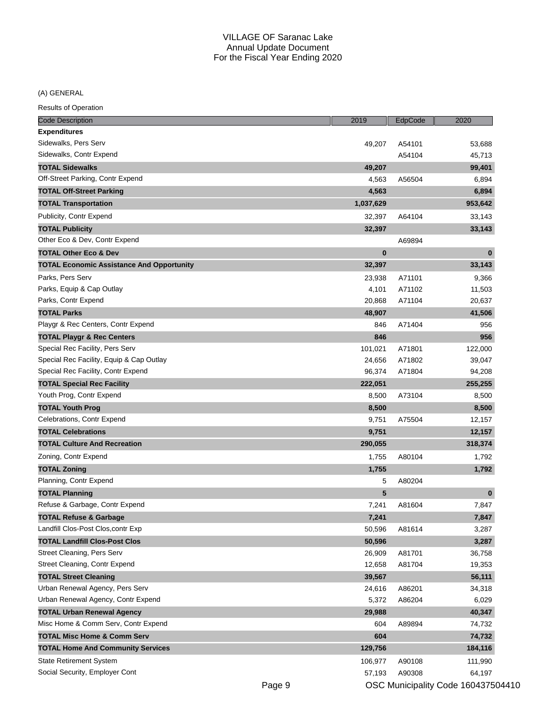(A) GENERAL

| Code Description                                 | 2019      | EdpCode | 2020     |
|--------------------------------------------------|-----------|---------|----------|
| <b>Expenditures</b>                              |           |         |          |
| Sidewalks, Pers Serv                             | 49,207    | A54101  | 53,688   |
| Sidewalks, Contr Expend                          |           | A54104  | 45,713   |
| <b>TOTAL Sidewalks</b>                           | 49,207    |         | 99,401   |
| Off-Street Parking, Contr Expend                 | 4,563     | A56504  | 6,894    |
| <b>TOTAL Off-Street Parking</b>                  | 4,563     |         | 6,894    |
| <b>TOTAL Transportation</b>                      | 1,037,629 |         | 953,642  |
| Publicity, Contr Expend                          | 32,397    | A64104  | 33,143   |
| <b>TOTAL Publicity</b>                           | 32,397    |         | 33,143   |
| Other Eco & Dev, Contr Expend                    |           | A69894  |          |
| <b>TOTAL Other Eco &amp; Dev</b>                 | $\bf{0}$  |         | $\bf{0}$ |
| <b>TOTAL Economic Assistance And Opportunity</b> | 32,397    |         | 33,143   |
| Parks, Pers Serv                                 | 23,938    | A71101  | 9,366    |
| Parks, Equip & Cap Outlay                        | 4,101     | A71102  | 11,503   |
| Parks, Contr Expend                              | 20,868    | A71104  | 20,637   |
| <b>TOTAL Parks</b>                               | 48,907    |         | 41,506   |
| Playgr & Rec Centers, Contr Expend               | 846       | A71404  | 956      |
| <b>TOTAL Playgr &amp; Rec Centers</b>            | 846       |         | 956      |
| Special Rec Facility, Pers Serv                  | 101,021   | A71801  | 122,000  |
| Special Rec Facility, Equip & Cap Outlay         | 24,656    | A71802  | 39,047   |
| Special Rec Facility, Contr Expend               | 96,374    | A71804  | 94,208   |
| <b>TOTAL Special Rec Facility</b>                | 222,051   |         | 255,255  |
| Youth Prog, Contr Expend                         | 8,500     | A73104  | 8,500    |
| <b>TOTAL Youth Prog</b>                          | 8,500     |         | 8,500    |
| Celebrations, Contr Expend                       | 9,751     | A75504  | 12,157   |
| <b>TOTAL Celebrations</b>                        | 9,751     |         | 12,157   |
| <b>TOTAL Culture And Recreation</b>              | 290,055   |         | 318,374  |
| Zoning, Contr Expend                             | 1,755     | A80104  | 1,792    |
| <b>TOTAL Zoning</b>                              | 1,755     |         | 1,792    |
| Planning, Contr Expend                           | 5         | A80204  |          |
| <b>TOTAL Planning</b>                            | 5         |         | $\bf{0}$ |
| Refuse & Garbage, Contr Expend                   | 7,241     | A81604  | 7,847    |
| <b>TOTAL Refuse &amp; Garbage</b>                | 7,241     |         | 7,847    |
| Landfill Clos-Post Clos, contr Exp               | 50,596    | A81614  | 3,287    |
| <b>TOTAL Landfill Clos-Post Clos</b>             | 50,596    |         | 3,287    |
| Street Cleaning, Pers Serv                       | 26,909    | A81701  | 36,758   |
| Street Cleaning, Contr Expend                    | 12,658    | A81704  | 19,353   |
| <b>TOTAL Street Cleaning</b>                     | 39,567    |         | 56,111   |
| Urban Renewal Agency, Pers Serv                  | 24,616    | A86201  | 34,318   |
| Urban Renewal Agency, Contr Expend               | 5,372     | A86204  | 6,029    |
| <b>TOTAL Urban Renewal Agency</b>                | 29,988    |         | 40,347   |
| Misc Home & Comm Serv, Contr Expend              | 604       | A89894  | 74,732   |
| <b>TOTAL Misc Home &amp; Comm Serv</b>           | 604       |         | 74,732   |
| <b>TOTAL Home And Community Services</b>         | 129,756   |         | 184,116  |
| <b>State Retirement System</b>                   | 106,977   | A90108  | 111,990  |
| Social Security, Employer Cont                   | 57,193    | A90308  | 64,197   |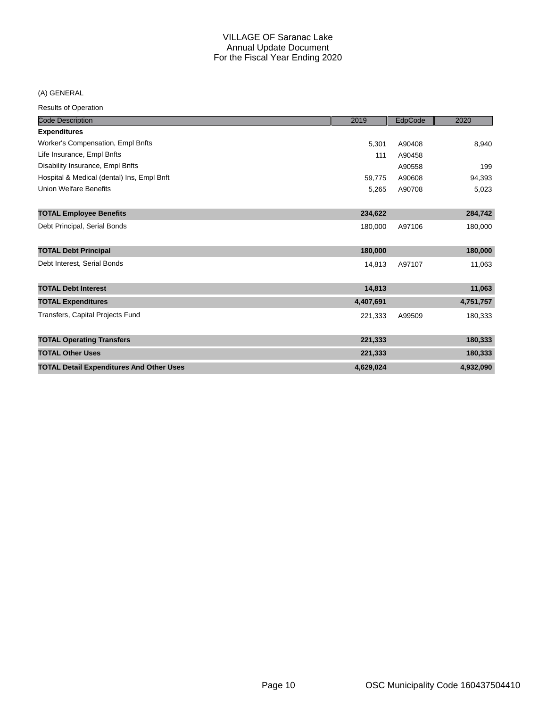## (A) GENERAL

| <b>Code Description</b>                         | 2019      | EdpCode | 2020      |
|-------------------------------------------------|-----------|---------|-----------|
| <b>Expenditures</b>                             |           |         |           |
| Worker's Compensation, Empl Bnfts               | 5,301     | A90408  | 8,940     |
| Life Insurance, Empl Bnfts                      | 111       | A90458  |           |
| Disability Insurance, Empl Bnfts                |           | A90558  | 199       |
| Hospital & Medical (dental) Ins, Empl Bnft      | 59,775    | A90608  | 94,393    |
| <b>Union Welfare Benefits</b>                   | 5,265     | A90708  | 5,023     |
|                                                 |           |         |           |
| <b>TOTAL Employee Benefits</b>                  | 234,622   |         | 284,742   |
| Debt Principal, Serial Bonds                    | 180,000   | A97106  | 180,000   |
|                                                 |           |         |           |
| <b>TOTAL Debt Principal</b>                     | 180,000   |         | 180,000   |
| Debt Interest, Serial Bonds                     | 14,813    | A97107  | 11,063    |
|                                                 |           |         |           |
| <b>TOTAL Debt Interest</b>                      | 14,813    |         | 11,063    |
| <b>TOTAL Expenditures</b>                       | 4,407,691 |         | 4,751,757 |
| Transfers, Capital Projects Fund                | 221,333   | A99509  | 180,333   |
|                                                 |           |         |           |
| <b>TOTAL Operating Transfers</b>                | 221,333   |         | 180,333   |
| <b>TOTAL Other Uses</b>                         | 221,333   |         | 180,333   |
| <b>TOTAL Detail Expenditures And Other Uses</b> | 4,629,024 |         | 4,932,090 |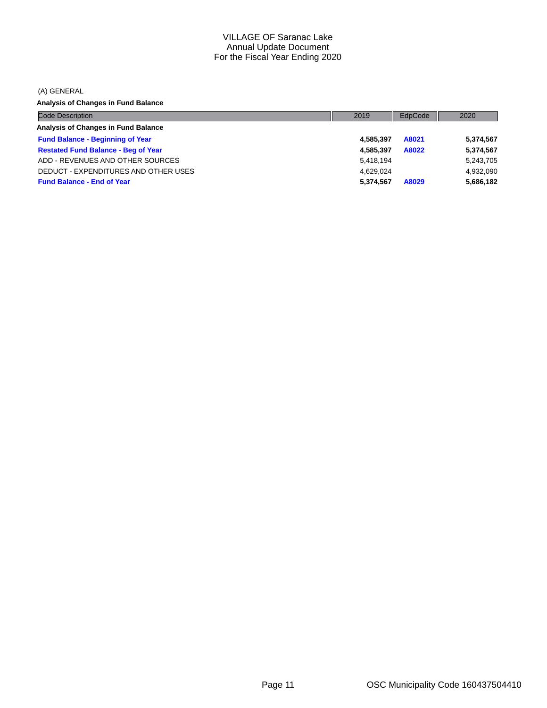(A) GENERAL

**Analysis of Changes in Fund Balance**

| <b>Code Description</b>                    | 2019      | EdpCode | 2020      |
|--------------------------------------------|-----------|---------|-----------|
| Analysis of Changes in Fund Balance        |           |         |           |
| <b>Fund Balance - Beginning of Year</b>    | 4.585.397 | A8021   | 5,374,567 |
| <b>Restated Fund Balance - Beg of Year</b> | 4.585.397 | A8022   | 5,374,567 |
| ADD - REVENUES AND OTHER SOURCES           | 5.418.194 |         | 5,243,705 |
| DEDUCT - EXPENDITURES AND OTHER USES       | 4.629.024 |         | 4,932,090 |
| <b>Fund Balance - End of Year</b>          | 5.374.567 | A8029   | 5,686,182 |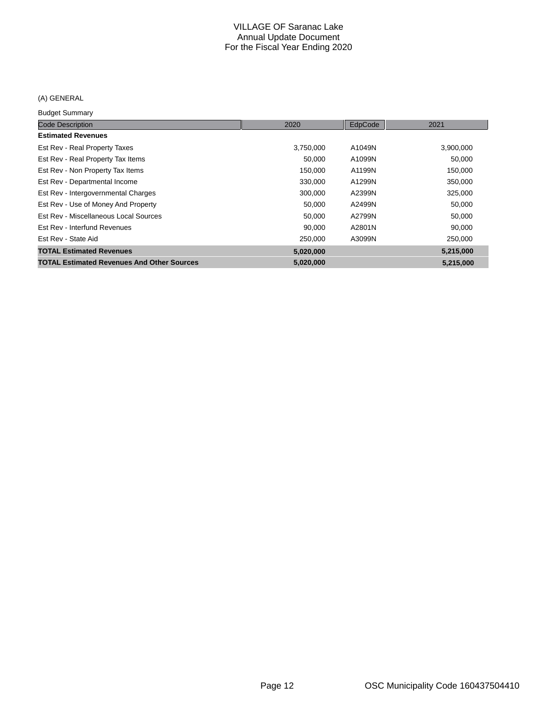## (A) GENERAL

#### Budget Summary

| <b>Code Description</b>                           | 2020      | EdpCode | 2021      |
|---------------------------------------------------|-----------|---------|-----------|
| <b>Estimated Revenues</b>                         |           |         |           |
| Est Rev - Real Property Taxes                     | 3,750,000 | A1049N  | 3,900,000 |
| Est Rev - Real Property Tax Items                 | 50,000    | A1099N  | 50,000    |
| Est Rev - Non Property Tax Items                  | 150,000   | A1199N  | 150,000   |
| Est Rev - Departmental Income                     | 330,000   | A1299N  | 350,000   |
| Est Rev - Intergovernmental Charges               | 300,000   | A2399N  | 325,000   |
| Est Rev - Use of Money And Property               | 50,000    | A2499N  | 50,000    |
| Est Rev - Miscellaneous Local Sources             | 50,000    | A2799N  | 50,000    |
| Est Rev - Interfund Revenues                      | 90,000    | A2801N  | 90,000    |
| Est Rev - State Aid                               | 250,000   | A3099N  | 250,000   |
| <b>TOTAL Estimated Revenues</b>                   | 5,020,000 |         | 5,215,000 |
| <b>TOTAL Estimated Revenues And Other Sources</b> | 5,020,000 |         | 5,215,000 |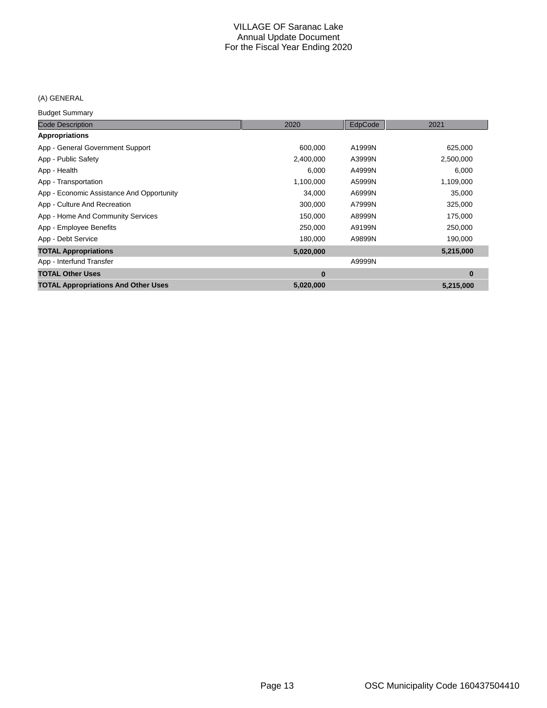## (A) GENERAL

Budget Summary

| <b>Code Description</b>                    | 2020      | EdpCode | 2021      |
|--------------------------------------------|-----------|---------|-----------|
| Appropriations                             |           |         |           |
| App - General Government Support           | 600,000   | A1999N  | 625,000   |
| App - Public Safety                        | 2,400,000 | A3999N  | 2,500,000 |
| App - Health                               | 6,000     | A4999N  | 6,000     |
| App - Transportation                       | 1,100,000 | A5999N  | 1,109,000 |
| App - Economic Assistance And Opportunity  | 34,000    | A6999N  | 35,000    |
| App - Culture And Recreation               | 300,000   | A7999N  | 325,000   |
| App - Home And Community Services          | 150,000   | A8999N  | 175,000   |
| App - Employee Benefits                    | 250,000   | A9199N  | 250,000   |
| App - Debt Service                         | 180,000   | A9899N  | 190,000   |
| <b>TOTAL Appropriations</b>                | 5,020,000 |         | 5,215,000 |
| App - Interfund Transfer                   |           | A9999N  |           |
| <b>TOTAL Other Uses</b>                    | $\bf{0}$  |         | $\bf{0}$  |
| <b>TOTAL Appropriations And Other Uses</b> | 5,020,000 |         | 5,215,000 |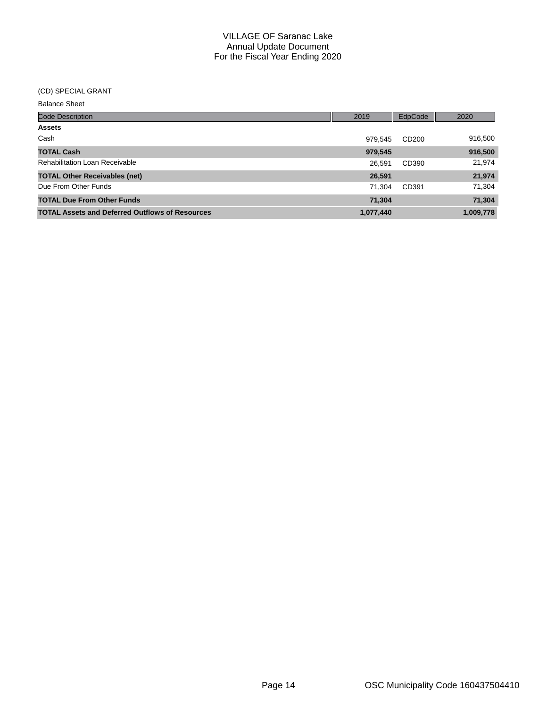#### (CD) SPECIAL GRANT

Balance Sheet

| <b>Code Description</b>                                | 2019      | EdpCode           | 2020      |
|--------------------------------------------------------|-----------|-------------------|-----------|
| <b>Assets</b>                                          |           |                   |           |
| Cash                                                   | 979.545   | CD <sub>200</sub> | 916,500   |
| <b>TOTAL Cash</b>                                      | 979,545   |                   | 916,500   |
| <b>Rehabilitation Loan Receivable</b>                  | 26.591    | CD390             | 21,974    |
| <b>TOTAL Other Receivables (net)</b>                   | 26,591    |                   | 21,974    |
| Due From Other Funds                                   | 71.304    | CD391             | 71,304    |
| <b>TOTAL Due From Other Funds</b>                      | 71,304    |                   | 71,304    |
| <b>TOTAL Assets and Deferred Outflows of Resources</b> | 1,077,440 |                   | 1,009,778 |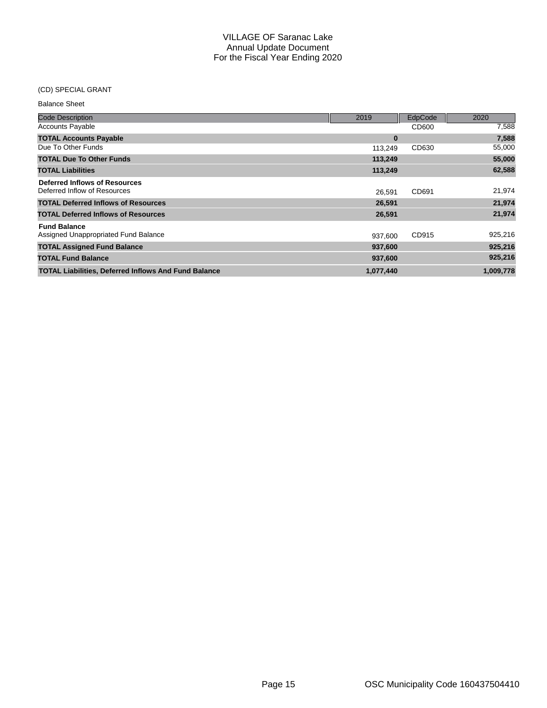## (CD) SPECIAL GRANT

| <b>Balance Sheet</b>                                          |           |                |           |
|---------------------------------------------------------------|-----------|----------------|-----------|
| <b>Code Description</b>                                       | 2019      | <b>EdpCode</b> | 2020      |
| <b>Accounts Payable</b>                                       |           | CD600          | 7,588     |
| <b>TOTAL Accounts Payable</b>                                 | $\bf{0}$  |                | 7,588     |
| Due To Other Funds                                            | 113,249   | CD630          | 55,000    |
| <b>TOTAL Due To Other Funds</b>                               | 113,249   |                | 55,000    |
| <b>TOTAL Liabilities</b>                                      | 113,249   |                | 62,588    |
| Deferred Inflows of Resources<br>Deferred Inflow of Resources | 26.591    | CD691          | 21,974    |
| <b>TOTAL Deferred Inflows of Resources</b>                    | 26,591    |                | 21,974    |
| <b>TOTAL Deferred Inflows of Resources</b>                    | 26,591    |                | 21,974    |
| <b>Fund Balance</b><br>Assigned Unappropriated Fund Balance   | 937,600   | CD915          | 925,216   |
| <b>TOTAL Assigned Fund Balance</b>                            | 937,600   |                | 925,216   |
| <b>TOTAL Fund Balance</b>                                     | 937,600   |                | 925,216   |
| <b>TOTAL Liabilities, Deferred Inflows And Fund Balance</b>   | 1,077,440 |                | 1,009,778 |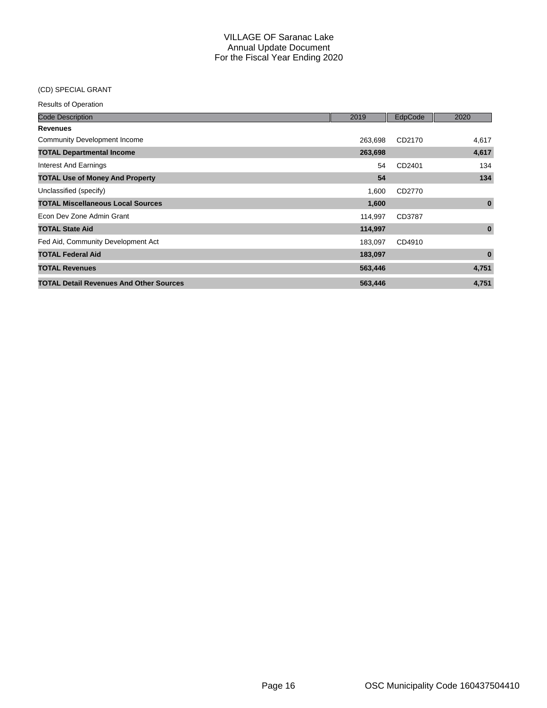### (CD) SPECIAL GRANT

| <b>Code Description</b>                        | 2019    | EdpCode | 2020     |
|------------------------------------------------|---------|---------|----------|
| <b>Revenues</b>                                |         |         |          |
| Community Development Income                   | 263,698 | CD2170  | 4,617    |
| <b>TOTAL Departmental Income</b>               | 263,698 |         | 4,617    |
| Interest And Earnings                          | 54      | CD2401  | 134      |
| <b>TOTAL Use of Money And Property</b>         | 54      |         | 134      |
| Unclassified (specify)                         | 1,600   | CD2770  |          |
| <b>TOTAL Miscellaneous Local Sources</b>       | 1,600   |         | $\bf{0}$ |
| Econ Dev Zone Admin Grant                      | 114,997 | CD3787  |          |
| <b>TOTAL State Aid</b>                         | 114,997 |         | $\bf{0}$ |
| Fed Aid, Community Development Act             | 183,097 | CD4910  |          |
| <b>TOTAL Federal Aid</b>                       | 183,097 |         | $\bf{0}$ |
| <b>TOTAL Revenues</b>                          | 563,446 |         | 4,751    |
| <b>TOTAL Detail Revenues And Other Sources</b> | 563,446 |         | 4,751    |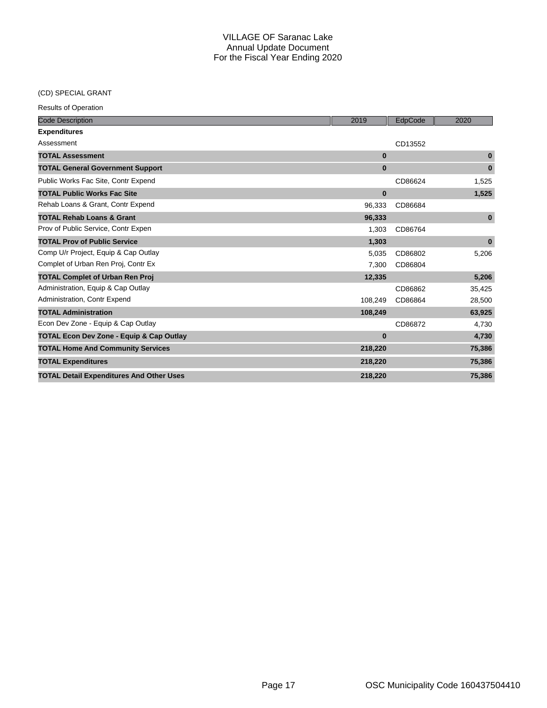## (CD) SPECIAL GRANT

| <b>Code Description</b>                             | 2019     | EdpCode | 2020         |
|-----------------------------------------------------|----------|---------|--------------|
| <b>Expenditures</b>                                 |          |         |              |
| Assessment                                          |          | CD13552 |              |
| <b>TOTAL Assessment</b>                             | $\bf{0}$ |         | $\bf{0}$     |
| <b>TOTAL General Government Support</b>             | $\bf{0}$ |         | $\bf{0}$     |
| Public Works Fac Site, Contr Expend                 |          | CD86624 | 1,525        |
| <b>TOTAL Public Works Fac Site</b>                  | $\bf{0}$ |         | 1,525        |
| Rehab Loans & Grant, Contr Expend                   | 96,333   | CD86684 |              |
| <b>TOTAL Rehab Loans &amp; Grant</b>                | 96,333   |         | $\mathbf{0}$ |
| Prov of Public Service, Contr Expen                 | 1,303    | CD86764 |              |
| <b>TOTAL Prov of Public Service</b>                 | 1,303    |         | $\bf{0}$     |
| Comp U/r Project, Equip & Cap Outlay                | 5,035    | CD86802 | 5,206        |
| Complet of Urban Ren Proj, Contr Ex                 | 7,300    | CD86804 |              |
| <b>TOTAL Complet of Urban Ren Proj</b>              | 12,335   |         | 5,206        |
| Administration, Equip & Cap Outlay                  |          | CD86862 | 35,425       |
| Administration, Contr Expend                        | 108,249  | CD86864 | 28,500       |
| <b>TOTAL Administration</b>                         | 108,249  |         | 63,925       |
| Econ Dev Zone - Equip & Cap Outlay                  |          | CD86872 | 4,730        |
| <b>TOTAL Econ Dev Zone - Equip &amp; Cap Outlay</b> | $\bf{0}$ |         | 4,730        |
| <b>TOTAL Home And Community Services</b>            | 218,220  |         | 75,386       |
| <b>TOTAL Expenditures</b>                           | 218,220  |         | 75,386       |
| <b>TOTAL Detail Expenditures And Other Uses</b>     | 218,220  |         | 75,386       |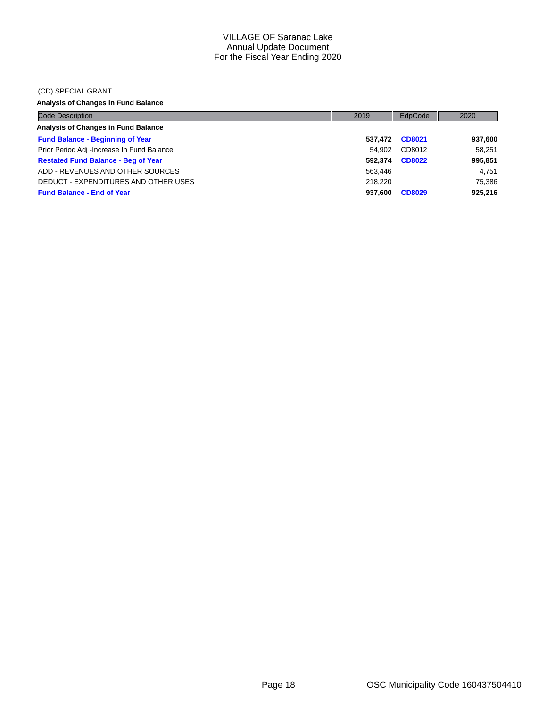#### (CD) SPECIAL GRANT

## **Analysis of Changes in Fund Balance**

| <b>Code Description</b>                    | 2019    | EdpCode       | 2020    |
|--------------------------------------------|---------|---------------|---------|
| Analysis of Changes in Fund Balance        |         |               |         |
| <b>Fund Balance - Beginning of Year</b>    | 537.472 | CD8021        | 937,600 |
| Prior Period Adj -Increase In Fund Balance | 54.902  | CD8012        | 58.251  |
| <b>Restated Fund Balance - Beg of Year</b> | 592.374 | <b>CD8022</b> | 995,851 |
| ADD - REVENUES AND OTHER SOURCES           | 563.446 |               | 4.751   |
| DEDUCT - EXPENDITURES AND OTHER USES       | 218.220 |               | 75.386  |
| <b>Fund Balance - End of Year</b>          | 937.600 | <b>CD8029</b> | 925,216 |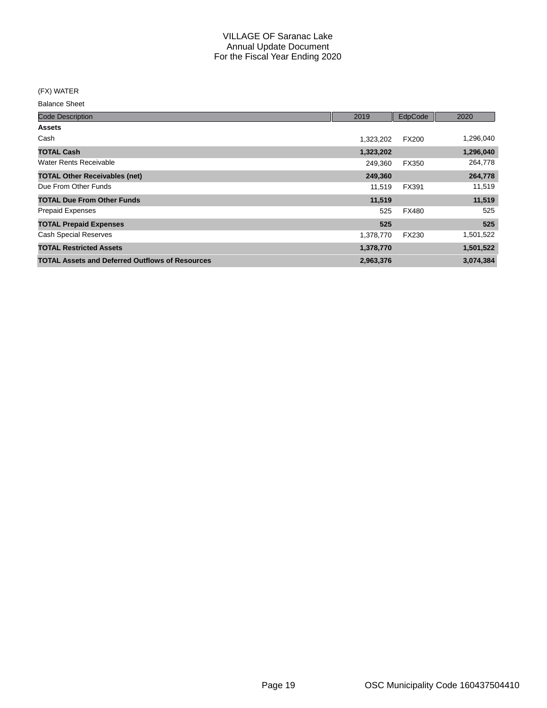(FX) WATER

Balance Sheet

| <b>Code Description</b>                                | 2019      | EdpCode      | 2020      |
|--------------------------------------------------------|-----------|--------------|-----------|
| <b>Assets</b>                                          |           |              |           |
| Cash                                                   | 1,323,202 | <b>FX200</b> | 1,296,040 |
| <b>TOTAL Cash</b>                                      | 1,323,202 |              | 1,296,040 |
| Water Rents Receivable                                 | 249,360   | FX350        | 264,778   |
| <b>TOTAL Other Receivables (net)</b>                   | 249,360   |              | 264,778   |
| Due From Other Funds                                   | 11,519    | FX391        | 11,519    |
| <b>TOTAL Due From Other Funds</b>                      | 11,519    |              | 11,519    |
| <b>Prepaid Expenses</b>                                | 525       | <b>FX480</b> | 525       |
| <b>TOTAL Prepaid Expenses</b>                          | 525       |              | 525       |
| <b>Cash Special Reserves</b>                           | 1,378,770 | FX230        | 1,501,522 |
| <b>TOTAL Restricted Assets</b>                         | 1,378,770 |              | 1,501,522 |
| <b>TOTAL Assets and Deferred Outflows of Resources</b> | 2,963,376 |              | 3,074,384 |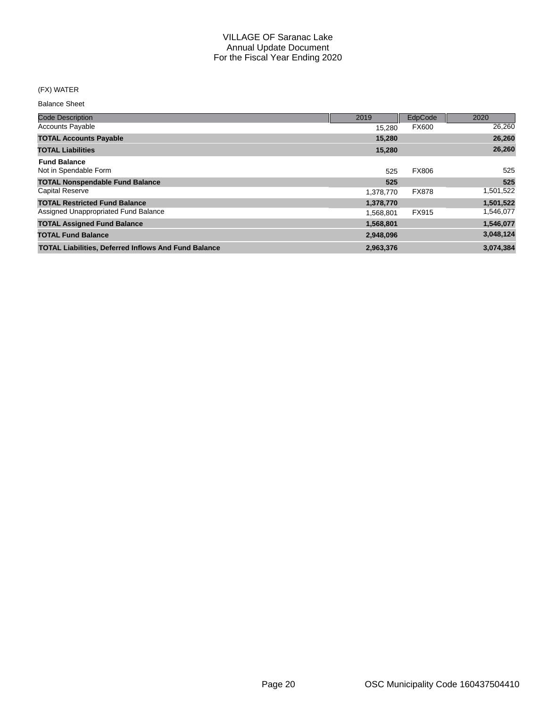### (FX) WATER

Balance Sheet

| <b>Code Description</b>                                     | 2019      | EdpCode      | 2020      |
|-------------------------------------------------------------|-----------|--------------|-----------|
| <b>Accounts Payable</b>                                     | 15.280    | <b>FX600</b> | 26,260    |
| <b>TOTAL Accounts Payable</b>                               | 15.280    |              | 26,260    |
| <b>TOTAL Liabilities</b>                                    | 15,280    |              | 26,260    |
| <b>Fund Balance</b>                                         |           |              |           |
| Not in Spendable Form                                       | 525       | <b>FX806</b> | 525       |
| <b>TOTAL Nonspendable Fund Balance</b>                      | 525       |              | 525       |
| <b>Capital Reserve</b>                                      | 1,378,770 | <b>FX878</b> | 1,501,522 |
| <b>TOTAL Restricted Fund Balance</b>                        | 1,378,770 |              | 1,501,522 |
| Assigned Unappropriated Fund Balance                        | 1,568,801 | FX915        | 1,546,077 |
| <b>TOTAL Assigned Fund Balance</b>                          | 1,568,801 |              | 1,546,077 |
| <b>TOTAL Fund Balance</b>                                   | 2,948,096 |              | 3,048,124 |
| <b>TOTAL Liabilities, Deferred Inflows And Fund Balance</b> | 2,963,376 |              | 3,074,384 |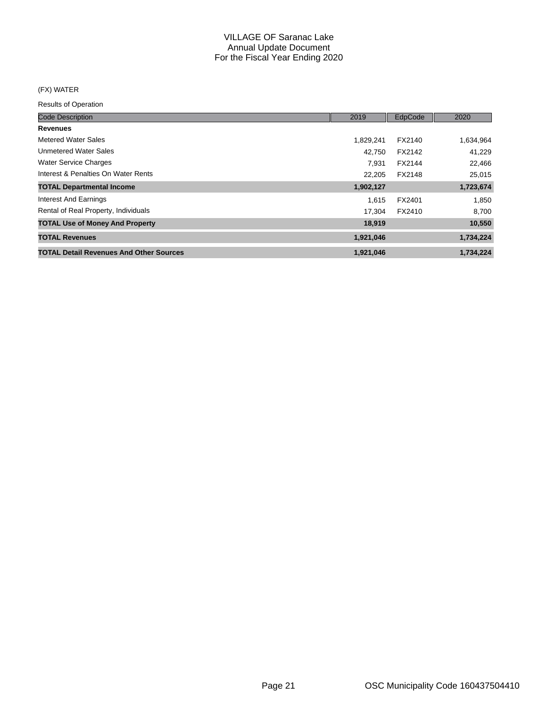### (FX) WATER

| <b>Code Description</b>                        | 2019      | EdpCode | 2020      |
|------------------------------------------------|-----------|---------|-----------|
| <b>Revenues</b>                                |           |         |           |
| Metered Water Sales                            | 1,829,241 | FX2140  | 1,634,964 |
| <b>Unmetered Water Sales</b>                   | 42.750    | FX2142  | 41.229    |
| <b>Water Service Charges</b>                   | 7.931     | FX2144  | 22,466    |
| Interest & Penalties On Water Rents            | 22.205    | FX2148  | 25,015    |
| <b>TOTAL Departmental Income</b>               | 1,902,127 |         | 1,723,674 |
| Interest And Earnings                          | 1.615     | FX2401  | 1,850     |
| Rental of Real Property, Individuals           | 17.304    | FX2410  | 8,700     |
| <b>TOTAL Use of Money And Property</b>         | 18,919    |         | 10,550    |
| <b>TOTAL Revenues</b>                          | 1,921,046 |         | 1,734,224 |
| <b>TOTAL Detail Revenues And Other Sources</b> | 1,921,046 |         | 1,734,224 |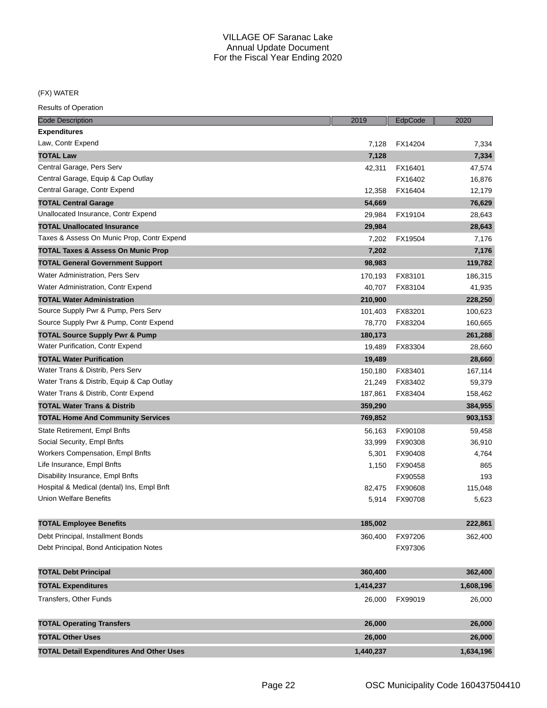(FX) WATER

| <b>Code Description</b>                         | 2019      | EdpCode | 2020      |
|-------------------------------------------------|-----------|---------|-----------|
| <b>Expenditures</b>                             |           |         |           |
| Law, Contr Expend                               | 7,128     | FX14204 | 7.334     |
| <b>TOTAL Law</b>                                | 7,128     |         | 7,334     |
| Central Garage, Pers Serv                       | 42,311    | FX16401 | 47,574    |
| Central Garage, Equip & Cap Outlay              |           | FX16402 | 16,876    |
| Central Garage, Contr Expend                    | 12,358    | FX16404 | 12,179    |
| <b>TOTAL Central Garage</b>                     | 54,669    |         | 76,629    |
| Unallocated Insurance, Contr Expend             | 29,984    | FX19104 | 28,643    |
| <b>TOTAL Unallocated Insurance</b>              | 29,984    |         | 28,643    |
| Taxes & Assess On Munic Prop, Contr Expend      | 7,202     | FX19504 | 7,176     |
| TOTAL Taxes & Assess On Munic Prop              | 7,202     |         | 7,176     |
| <b>TOTAL General Government Support</b>         | 98,983    |         | 119,782   |
| Water Administration, Pers Serv                 | 170,193   | FX83101 | 186,315   |
| Water Administration, Contr Expend              | 40,707    | FX83104 | 41,935    |
| <b>TOTAL Water Administration</b>               | 210,900   |         | 228,250   |
| Source Supply Pwr & Pump, Pers Serv             | 101,403   | FX83201 | 100,623   |
| Source Supply Pwr & Pump, Contr Expend          | 78,770    | FX83204 | 160,665   |
| <b>TOTAL Source Supply Pwr &amp; Pump</b>       | 180,173   |         | 261,288   |
| Water Purification, Contr Expend                | 19,489    | FX83304 | 28,660    |
| <b>TOTAL Water Purification</b>                 | 19,489    |         | 28,660    |
| Water Trans & Distrib, Pers Serv                | 150,180   | FX83401 | 167,114   |
| Water Trans & Distrib, Equip & Cap Outlay       | 21,249    | FX83402 | 59,379    |
| Water Trans & Distrib, Contr Expend             | 187,861   | FX83404 | 158,462   |
| <b>TOTAL Water Trans &amp; Distrib</b>          | 359,290   |         | 384,955   |
| <b>TOTAL Home And Community Services</b>        | 769,852   |         | 903,153   |
| State Retirement, Empl Bnfts                    | 56,163    | FX90108 | 59,458    |
| Social Security, Empl Bnfts                     | 33,999    | FX90308 | 36,910    |
| <b>Workers Compensation, Empl Bnfts</b>         | 5,301     | FX90408 | 4,764     |
| Life Insurance, Empl Bnfts                      | 1,150     | FX90458 | 865       |
| Disability Insurance, Empl Bnfts                |           | FX90558 | 193       |
| Hospital & Medical (dental) Ins, Empl Bnft      | 82,475    | FX90608 | 115,048   |
| <b>Union Welfare Benefits</b>                   | 5,914     | FX90708 | 5,623     |
| <b>TOTAL Employee Benefits</b>                  | 185,002   |         | 222,861   |
| Debt Principal, Installment Bonds               | 360,400   | FX97206 | 362,400   |
| Debt Principal, Bond Anticipation Notes         |           | FX97306 |           |
|                                                 |           |         |           |
| <b>TOTAL Debt Principal</b>                     | 360,400   |         | 362,400   |
| <b>TOTAL Expenditures</b>                       | 1,414,237 |         | 1,608,196 |
| <b>Transfers, Other Funds</b>                   | 26,000    | FX99019 | 26,000    |
| <b>TOTAL Operating Transfers</b>                | 26,000    |         | 26,000    |
| <b>TOTAL Other Uses</b>                         | 26,000    |         | 26,000    |
| <b>TOTAL Detail Expenditures And Other Uses</b> | 1,440,237 |         | 1,634,196 |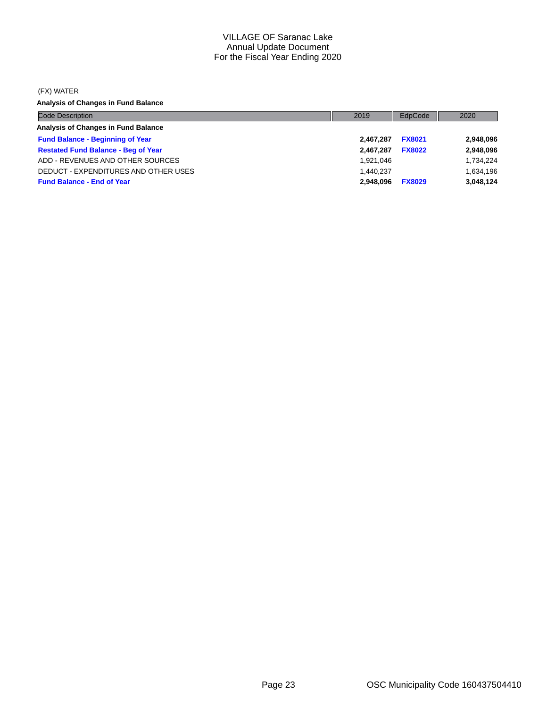#### (FX) WATER

**Analysis of Changes in Fund Balance**

| <b>Code Description</b>                    | 2019      | EdpCode       | 2020      |
|--------------------------------------------|-----------|---------------|-----------|
| Analysis of Changes in Fund Balance        |           |               |           |
| <b>Fund Balance - Beginning of Year</b>    | 2.467.287 | <b>FX8021</b> | 2,948,096 |
| <b>Restated Fund Balance - Beg of Year</b> | 2.467.287 | <b>FX8022</b> | 2,948,096 |
| ADD - REVENUES AND OTHER SOURCES           | 1.921.046 |               | 1,734,224 |
| DEDUCT - EXPENDITURES AND OTHER USES       | 1.440.237 |               | 1,634,196 |
| <b>Fund Balance - End of Year</b>          | 2.948.096 | <b>FX8029</b> | 3,048,124 |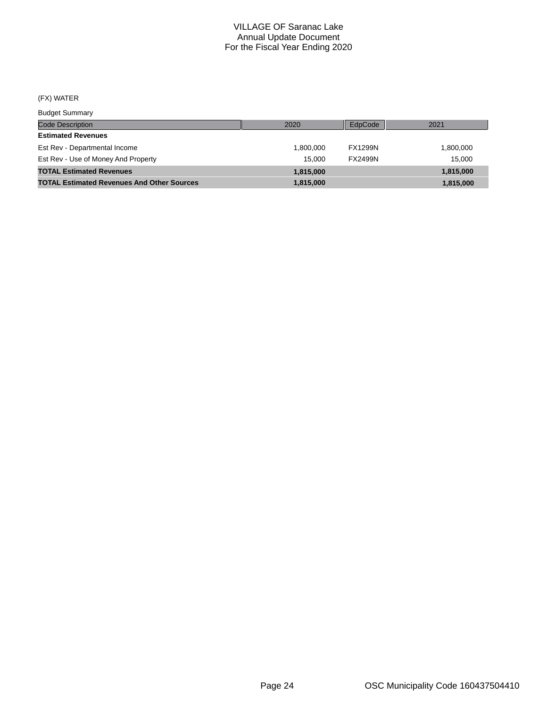## (FX) WATER

Budget Summary

| <b>DUUYUL OUITHIULY</b>                           |           |                |           |
|---------------------------------------------------|-----------|----------------|-----------|
| <b>Code Description</b>                           | 2020      | EdpCode        | 2021      |
| <b>Estimated Revenues</b>                         |           |                |           |
| Est Rev - Departmental Income                     | 1.800.000 | <b>FX1299N</b> | 1,800,000 |
| Est Rev - Use of Money And Property               | 15.000    | <b>FX2499N</b> | 15.000    |
| <b>TOTAL Estimated Revenues</b>                   | 1.815.000 |                | 1,815,000 |
| <b>TOTAL Estimated Revenues And Other Sources</b> | 1.815.000 |                | 1,815,000 |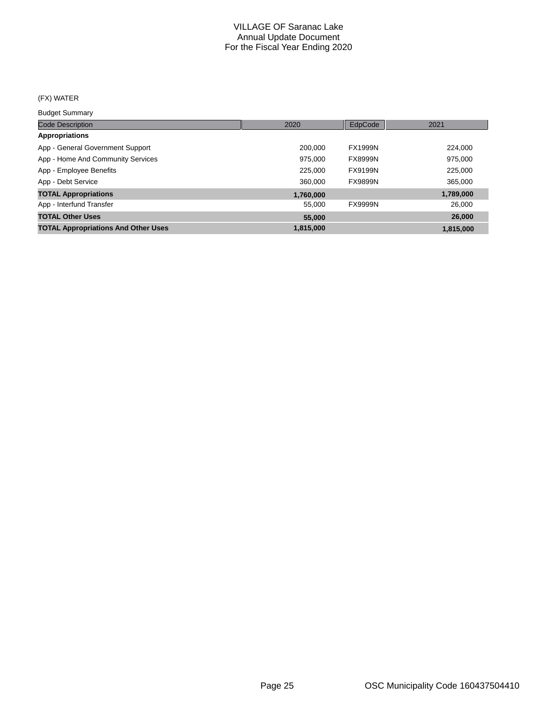## (FX) WATER

Budget Summary

| <b>Code Description</b>                    | 2020      | EdpCode        | 2021      |
|--------------------------------------------|-----------|----------------|-----------|
| <b>Appropriations</b>                      |           |                |           |
| App - General Government Support           | 200,000   | <b>FX1999N</b> | 224,000   |
| App - Home And Community Services          | 975.000   | <b>FX8999N</b> | 975,000   |
| App - Employee Benefits                    | 225,000   | FX9199N        | 225,000   |
| App - Debt Service                         | 360,000   | <b>FX9899N</b> | 365,000   |
| <b>TOTAL Appropriations</b>                | 1,760,000 |                | 1,789,000 |
| App - Interfund Transfer                   | 55,000    | <b>FX9999N</b> | 26,000    |
| <b>TOTAL Other Uses</b>                    | 55,000    |                | 26,000    |
| <b>TOTAL Appropriations And Other Uses</b> | 1,815,000 |                | 1,815,000 |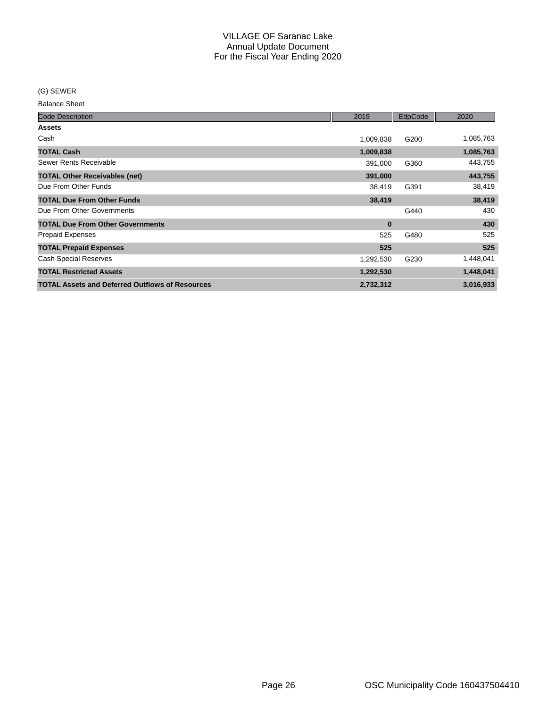(G) SEWER

Balance Sheet

| <b>Code Description</b>                                | 2019      | EdpCode | 2020      |
|--------------------------------------------------------|-----------|---------|-----------|
| <b>Assets</b>                                          |           |         |           |
| Cash                                                   | 1,009,838 | G200    | 1,085,763 |
| <b>TOTAL Cash</b>                                      | 1,009,838 |         | 1,085,763 |
| Sewer Rents Receivable                                 | 391,000   | G360    | 443,755   |
| <b>TOTAL Other Receivables (net)</b>                   | 391,000   |         | 443,755   |
| Due From Other Funds                                   | 38,419    | G391    | 38,419    |
| <b>TOTAL Due From Other Funds</b>                      | 38,419    |         | 38,419    |
| Due From Other Governments                             |           | G440    | 430       |
| <b>TOTAL Due From Other Governments</b>                | $\bf{0}$  |         | 430       |
| <b>Prepaid Expenses</b>                                | 525       | G480    | 525       |
| <b>TOTAL Prepaid Expenses</b>                          | 525       |         | 525       |
| <b>Cash Special Reserves</b>                           | 1,292,530 | G230    | 1,448,041 |
| <b>TOTAL Restricted Assets</b>                         | 1,292,530 |         | 1,448,041 |
| <b>TOTAL Assets and Deferred Outflows of Resources</b> | 2,732,312 |         | 3,016,933 |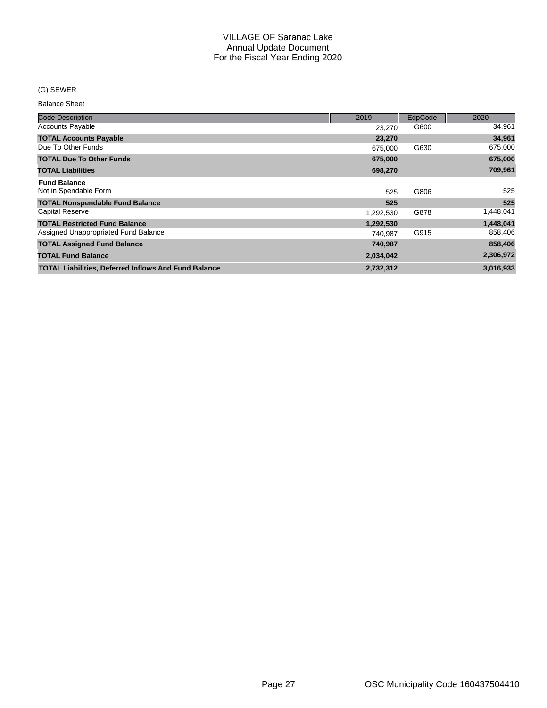### (G) SEWER

Balance Sheet

| <b>Code Description</b>                                     | 2019      | EdpCode | 2020      |
|-------------------------------------------------------------|-----------|---------|-----------|
| <b>Accounts Payable</b>                                     | 23.270    | G600    | 34,961    |
|                                                             |           |         | 34,961    |
| <b>TOTAL Accounts Payable</b>                               | 23,270    |         |           |
| Due To Other Funds                                          | 675,000   | G630    | 675,000   |
| <b>TOTAL Due To Other Funds</b>                             | 675,000   |         | 675,000   |
| <b>TOTAL Liabilities</b>                                    | 698,270   |         | 709,961   |
| <b>Fund Balance</b>                                         |           |         |           |
| Not in Spendable Form                                       | 525       | G806    | 525       |
| <b>TOTAL Nonspendable Fund Balance</b>                      | 525       |         | 525       |
| <b>Capital Reserve</b>                                      | 1,292,530 | G878    | 1,448,041 |
| <b>TOTAL Restricted Fund Balance</b>                        | 1,292,530 |         | 1,448,041 |
| Assigned Unappropriated Fund Balance                        | 740.987   | G915    | 858,406   |
| <b>TOTAL Assigned Fund Balance</b>                          | 740,987   |         | 858,406   |
| <b>TOTAL Fund Balance</b>                                   | 2,034,042 |         | 2,306,972 |
| <b>TOTAL Liabilities, Deferred Inflows And Fund Balance</b> | 2,732,312 |         | 3,016,933 |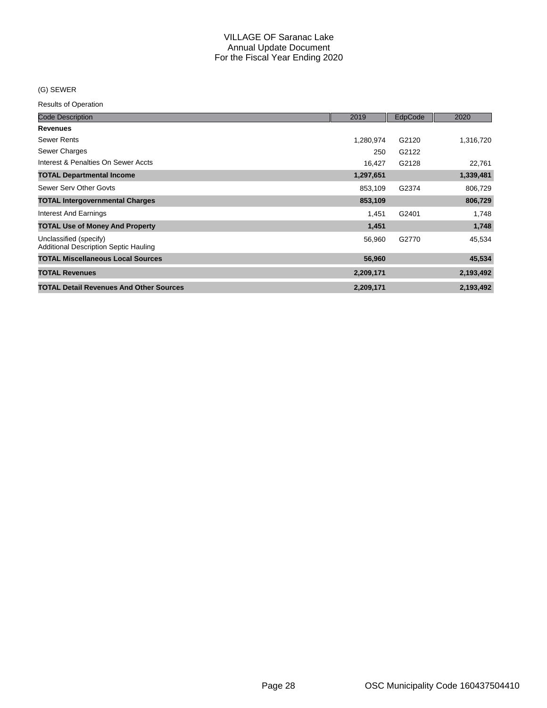### (G) SEWER

| <b>Code Description</b>                                                | 2019      | EdpCode | 2020      |
|------------------------------------------------------------------------|-----------|---------|-----------|
| <b>Revenues</b>                                                        |           |         |           |
| <b>Sewer Rents</b>                                                     | 1,280,974 | G2120   | 1,316,720 |
| Sewer Charges                                                          | 250       | G2122   |           |
| Interest & Penalties On Sewer Accts                                    | 16,427    | G2128   | 22,761    |
| <b>TOTAL Departmental Income</b>                                       | 1,297,651 |         | 1,339,481 |
| Sewer Serv Other Govts                                                 | 853,109   | G2374   | 806,729   |
| <b>TOTAL Intergovernmental Charges</b>                                 | 853,109   |         | 806,729   |
| Interest And Earnings                                                  | 1,451     | G2401   | 1,748     |
| <b>TOTAL Use of Money And Property</b>                                 | 1,451     |         | 1,748     |
| Unclassified (specify)<br><b>Additional Description Septic Hauling</b> | 56,960    | G2770   | 45,534    |
| <b>TOTAL Miscellaneous Local Sources</b>                               | 56,960    |         | 45,534    |
| <b>TOTAL Revenues</b>                                                  | 2,209,171 |         | 2,193,492 |
| <b>TOTAL Detail Revenues And Other Sources</b>                         | 2,209,171 |         | 2,193,492 |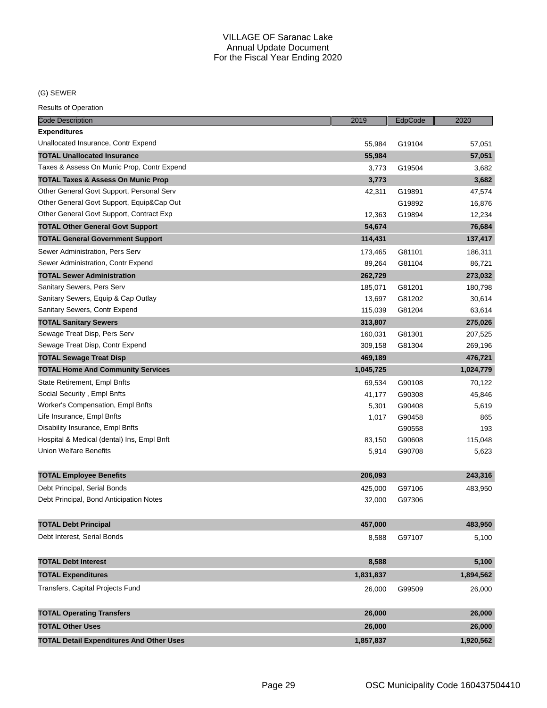(G) SEWER

| <b>Code Description</b>                         | 2019      | EdpCode | 2020      |
|-------------------------------------------------|-----------|---------|-----------|
| <b>Expenditures</b>                             |           |         |           |
| Unallocated Insurance, Contr Expend             | 55,984    | G19104  | 57,051    |
| <b>TOTAL Unallocated Insurance</b>              | 55,984    |         | 57,051    |
| Taxes & Assess On Munic Prop, Contr Expend      | 3,773     | G19504  | 3,682     |
| <b>TOTAL Taxes &amp; Assess On Munic Prop</b>   | 3,773     |         | 3,682     |
| Other General Govt Support, Personal Serv       | 42,311    | G19891  | 47,574    |
| Other General Govt Support, Equip⋒ Out          |           | G19892  | 16,876    |
| Other General Govt Support, Contract Exp        | 12,363    | G19894  | 12,234    |
| <b>TOTAL Other General Govt Support</b>         | 54,674    |         | 76,684    |
| <b>TOTAL General Government Support</b>         | 114,431   |         | 137,417   |
| Sewer Administration, Pers Serv                 | 173,465   | G81101  | 186,311   |
| Sewer Administration, Contr Expend              | 89,264    | G81104  | 86,721    |
| <b>TOTAL Sewer Administration</b>               | 262,729   |         | 273,032   |
| Sanitary Sewers, Pers Serv                      | 185,071   | G81201  | 180,798   |
| Sanitary Sewers, Equip & Cap Outlay             | 13,697    | G81202  | 30,614    |
| Sanitary Sewers, Contr Expend                   | 115,039   | G81204  | 63,614    |
| <b>TOTAL Sanitary Sewers</b>                    | 313,807   |         | 275,026   |
| Sewage Treat Disp, Pers Serv                    | 160,031   | G81301  | 207,525   |
| Sewage Treat Disp, Contr Expend                 | 309,158   | G81304  | 269,196   |
| <b>TOTAL Sewage Treat Disp</b>                  | 469,189   |         | 476,721   |
| <b>TOTAL Home And Community Services</b>        | 1,045,725 |         | 1,024,779 |
| State Retirement, Empl Bnfts                    | 69,534    | G90108  | 70,122    |
| Social Security, Empl Bnfts                     | 41,177    | G90308  | 45,846    |
| Worker's Compensation, Empl Bnfts               | 5,301     | G90408  | 5,619     |
| Life Insurance, Empl Bnfts                      | 1,017     | G90458  | 865       |
| Disability Insurance, Empl Bnfts                |           | G90558  | 193       |
| Hospital & Medical (dental) Ins, Empl Bnft      | 83,150    | G90608  | 115,048   |
| <b>Union Welfare Benefits</b>                   | 5,914     | G90708  | 5,623     |
|                                                 |           |         |           |
| <b>TOTAL Employee Benefits</b>                  | 206,093   |         | 243,316   |
| Debt Principal, Serial Bonds                    | 425,000   | G97106  | 483,950   |
| Debt Principal, Bond Anticipation Notes         | 32,000    | G97306  |           |
|                                                 |           |         |           |
| <b>TOTAL Debt Principal</b>                     | 457,000   |         | 483,950   |
| Debt Interest, Serial Bonds                     | 8,588     | G97107  | 5,100     |
|                                                 |           |         |           |
| <b>TOTAL Debt Interest</b>                      | 8,588     |         | 5,100     |
| <b>TOTAL Expenditures</b>                       | 1,831,837 |         | 1,894,562 |
| Transfers, Capital Projects Fund                | 26,000    | G99509  | 26,000    |
|                                                 |           |         |           |
| <b>TOTAL Operating Transfers</b>                | 26,000    |         | 26,000    |
| <b>TOTAL Other Uses</b>                         | 26,000    |         | 26,000    |
| <b>TOTAL Detail Expenditures And Other Uses</b> | 1,857,837 |         | 1,920,562 |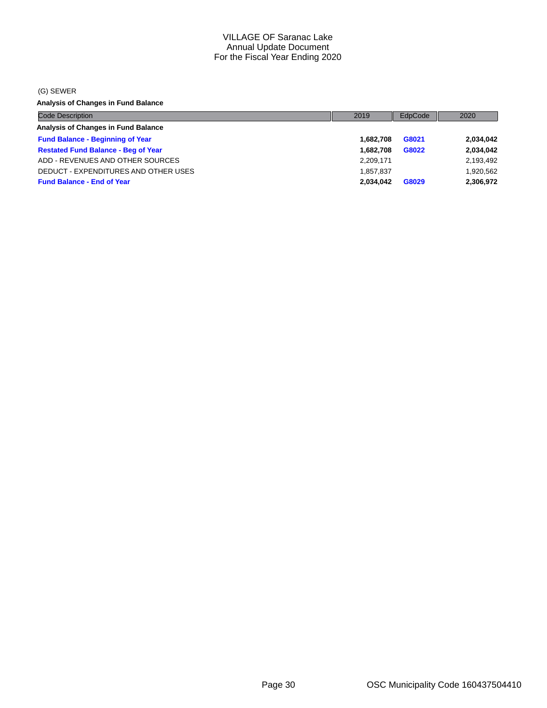(G) SEWER

**Analysis of Changes in Fund Balance**

| <b>Code Description</b>                    | 2019      | EdpCode | 2020      |
|--------------------------------------------|-----------|---------|-----------|
| Analysis of Changes in Fund Balance        |           |         |           |
| <b>Fund Balance - Beginning of Year</b>    | 1.682.708 | G8021   | 2,034,042 |
| <b>Restated Fund Balance - Beg of Year</b> | 1.682.708 | G8022   | 2,034,042 |
| ADD - REVENUES AND OTHER SOURCES           | 2,209,171 |         | 2,193,492 |
| DEDUCT - EXPENDITURES AND OTHER USES       | 1.857.837 |         | 1,920,562 |
| <b>Fund Balance - End of Year</b>          | 2.034.042 | G8029   | 2,306,972 |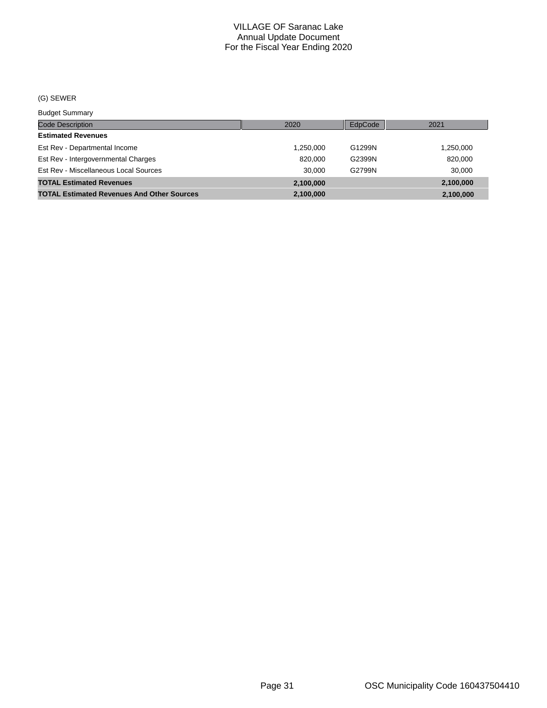## (G) SEWER

Budget Summary

| $-2999$                                           |           |         |           |
|---------------------------------------------------|-----------|---------|-----------|
| Code Description                                  | 2020      | EdpCode | 2021      |
| <b>Estimated Revenues</b>                         |           |         |           |
| Est Rev - Departmental Income                     | 1,250,000 | G1299N  | 1,250,000 |
| Est Rev - Intergovernmental Charges               | 820,000   | G2399N  | 820,000   |
| Est Rev - Miscellaneous Local Sources             | 30.000    | G2799N  | 30.000    |
| <b>TOTAL Estimated Revenues</b>                   | 2.100.000 |         | 2,100,000 |
| <b>TOTAL Estimated Revenues And Other Sources</b> | 2,100,000 |         | 2,100,000 |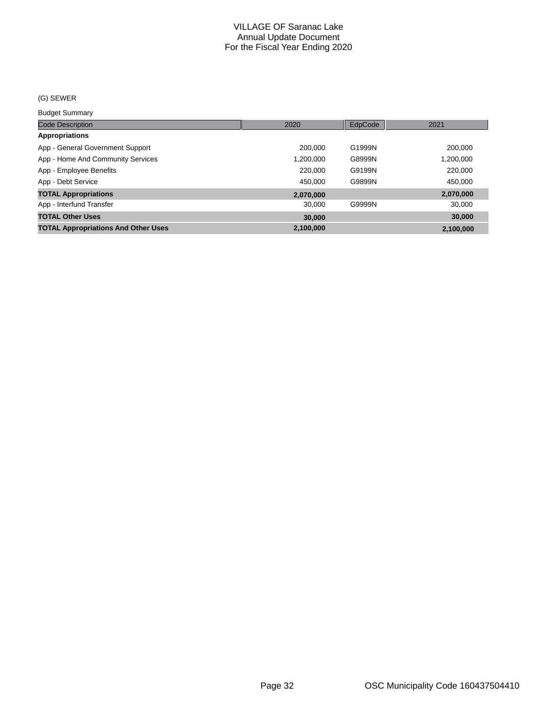#### (G) SEWER

Budget Summary

| <b>Code Description</b>                    | 2020      | EdpCode | 2021      |
|--------------------------------------------|-----------|---------|-----------|
| <b>Appropriations</b>                      |           |         |           |
| App - General Government Support           | 200,000   | G1999N  | 200,000   |
| App - Home And Community Services          | 1,200,000 | G8999N  | 1,200,000 |
| App - Employee Benefits                    | 220,000   | G9199N  | 220,000   |
| App - Debt Service                         | 450.000   | G9899N  | 450,000   |
| <b>TOTAL Appropriations</b>                | 2.070.000 |         | 2,070,000 |
| App - Interfund Transfer                   | 30,000    | G9999N  | 30,000    |
| <b>TOTAL Other Uses</b>                    | 30,000    |         | 30,000    |
| <b>TOTAL Appropriations And Other Uses</b> | 2,100,000 |         | 2.100.000 |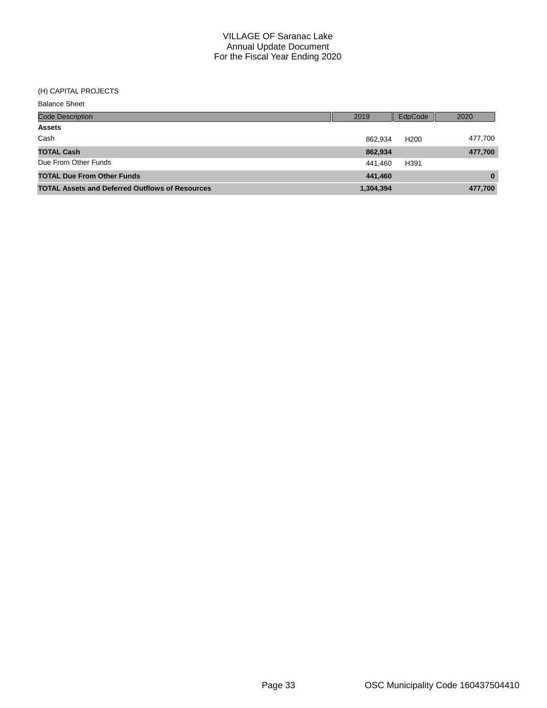#### (H) CAPITAL PROJECTS

| <b>Balance Sheet</b>                                   |           |                  |          |
|--------------------------------------------------------|-----------|------------------|----------|
| Code Description                                       | 2019      | EdpCode          | 2020     |
| <b>Assets</b>                                          |           |                  |          |
| Cash                                                   | 862,934   | H <sub>200</sub> | 477,700  |
| <b>TOTAL Cash</b>                                      | 862,934   |                  | 477,700  |
| Due From Other Funds                                   | 441,460   | H391             |          |
| <b>TOTAL Due From Other Funds</b>                      | 441,460   |                  | $\bf{0}$ |
| <b>TOTAL Assets and Deferred Outflows of Resources</b> | 1,304,394 |                  | 477,700  |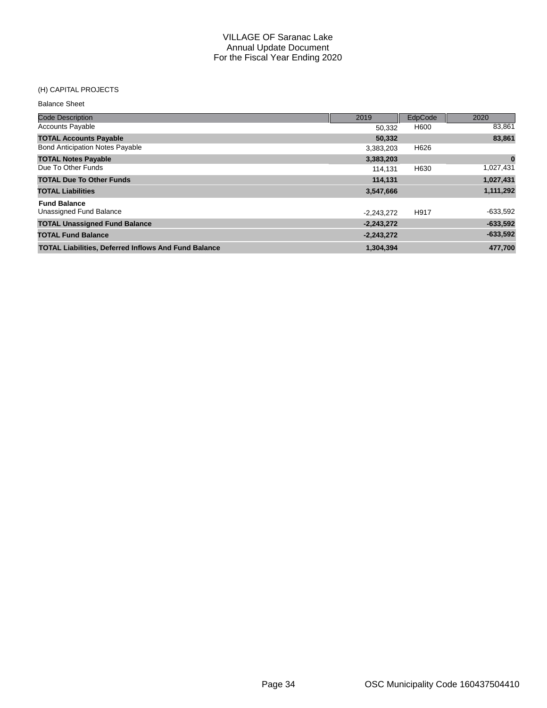#### (H) CAPITAL PROJECTS

| <b>Balance Sheet</b>                                        |              |         |            |
|-------------------------------------------------------------|--------------|---------|------------|
| <b>Code Description</b>                                     | 2019         | EdpCode | 2020       |
| <b>Accounts Payable</b>                                     | 50,332       | H600    | 83,861     |
| <b>TOTAL Accounts Payable</b>                               | 50,332       |         | 83,861     |
| <b>Bond Anticipation Notes Payable</b>                      | 3,383,203    | H626    |            |
| <b>TOTAL Notes Payable</b>                                  | 3,383,203    |         | $\bf{0}$   |
| Due To Other Funds                                          | 114.131      | H630    | 1,027,431  |
| <b>TOTAL Due To Other Funds</b>                             | 114,131      |         | 1,027,431  |
| <b>TOTAL Liabilities</b>                                    | 3,547,666    |         | 1,111,292  |
| <b>Fund Balance</b>                                         |              |         |            |
| Unassigned Fund Balance                                     | $-2,243,272$ | H917    | $-633,592$ |
| <b>TOTAL Unassigned Fund Balance</b>                        | $-2,243,272$ |         | $-633,592$ |
| <b>TOTAL Fund Balance</b>                                   | $-2,243,272$ |         | $-633,592$ |
| <b>TOTAL Liabilities, Deferred Inflows And Fund Balance</b> | 1.304.394    |         | 477.700    |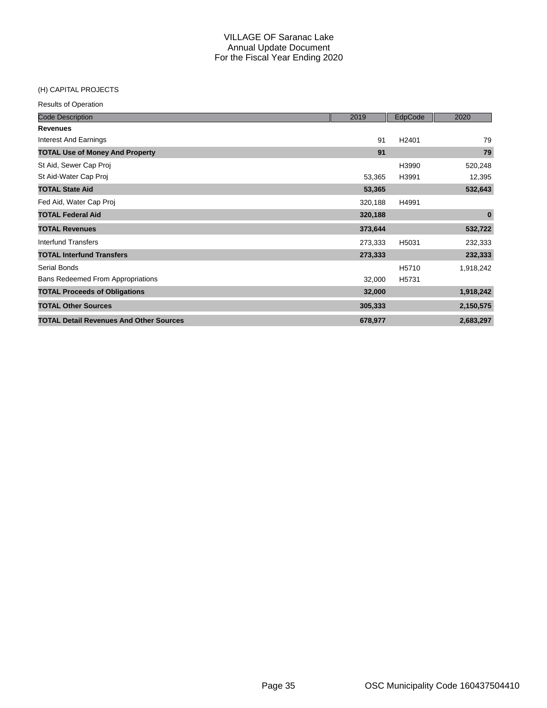### (H) CAPITAL PROJECTS

| <b>Code Description</b>                        | 2019    | EdpCode           | 2020      |
|------------------------------------------------|---------|-------------------|-----------|
| <b>Revenues</b>                                |         |                   |           |
| <b>Interest And Earnings</b>                   | 91      | H <sub>2401</sub> | 79        |
| <b>TOTAL Use of Money And Property</b>         | 91      |                   | 79        |
| St Aid, Sewer Cap Proj                         |         | H3990             | 520,248   |
| St Aid-Water Cap Proj                          | 53,365  | H3991             | 12,395    |
| <b>TOTAL State Aid</b>                         | 53,365  |                   | 532,643   |
| Fed Aid, Water Cap Proj                        | 320,188 | H4991             |           |
| <b>TOTAL Federal Aid</b>                       | 320,188 |                   | $\bf{0}$  |
| <b>TOTAL Revenues</b>                          | 373,644 |                   | 532,722   |
| Interfund Transfers                            | 273,333 | H5031             | 232,333   |
| <b>TOTAL Interfund Transfers</b>               | 273,333 |                   | 232,333   |
| Serial Bonds                                   |         | H5710             | 1,918,242 |
| Bans Redeemed From Appropriations              | 32,000  | H5731             |           |
| <b>TOTAL Proceeds of Obligations</b>           | 32,000  |                   | 1,918,242 |
| <b>TOTAL Other Sources</b>                     | 305,333 |                   | 2,150,575 |
| <b>TOTAL Detail Revenues And Other Sources</b> | 678,977 |                   | 2,683,297 |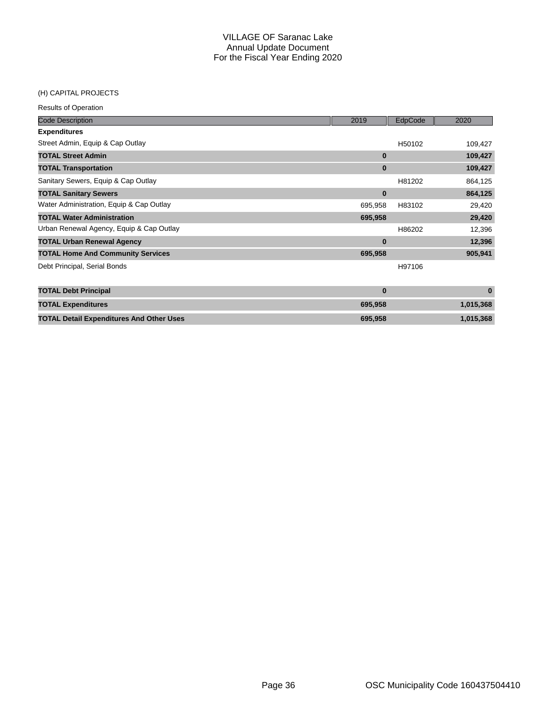## (H) CAPITAL PROJECTS

| <b>Code Description</b>                  | 2019     | EdpCode | 2020    |
|------------------------------------------|----------|---------|---------|
| <b>Expenditures</b>                      |          |         |         |
| Street Admin, Equip & Cap Outlay         |          | H50102  | 109,427 |
| <b>TOTAL Street Admin</b>                | $\bf{0}$ |         | 109,427 |
| <b>TOTAL Transportation</b>              | $\bf{0}$ |         | 109,427 |
| Sanitary Sewers, Equip & Cap Outlay      |          | H81202  | 864,125 |
| <b>TOTAL Sanitary Sewers</b>             | $\bf{0}$ |         | 864,125 |
| Water Administration, Equip & Cap Outlay | 695.958  | H83102  | 29,420  |
| <b>TOTAL Water Administration</b>        | 695,958  |         | 29,420  |
| Urban Renewal Agency, Equip & Cap Outlay |          | H86202  | 12,396  |
| <b>TOTAL Urban Renewal Agency</b>        | $\bf{0}$ |         | 12,396  |
| <b>TOTAL Home And Community Services</b> | 695,958  |         | 905,941 |
| Debt Principal, Serial Bonds             |          | H97106  |         |

| <b>TOTAL Debt Principal</b>                     |         |           |
|-------------------------------------------------|---------|-----------|
| <b>TOTAL Expenditures</b>                       | 695.958 | 1,015,368 |
| <b>TOTAL Detail Expenditures And Other Uses</b> | 695.958 | 1.015.368 |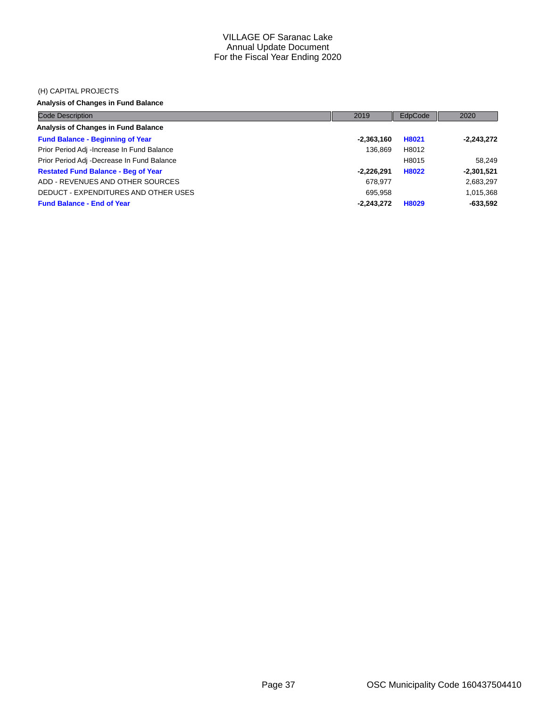#### (H) CAPITAL PROJECTS

## **Analysis of Changes in Fund Balance**

| <b>Code Description</b>                    | 2019         | EdpCode | 2020         |
|--------------------------------------------|--------------|---------|--------------|
| Analysis of Changes in Fund Balance        |              |         |              |
| <b>Fund Balance - Beginning of Year</b>    | $-2,363,160$ | H8021   | $-2,243,272$ |
| Prior Period Adj -Increase In Fund Balance | 136.869      | H8012   |              |
| Prior Period Adj -Decrease In Fund Balance |              | H8015   | 58.249       |
| <b>Restated Fund Balance - Beg of Year</b> | $-2.226.291$ | H8022   | $-2,301,521$ |
| ADD - REVENUES AND OTHER SOURCES           | 678.977      |         | 2,683,297    |
| DEDUCT - EXPENDITURES AND OTHER USES       | 695.958      |         | 1,015,368    |
| <b>Fund Balance - End of Year</b>          | $-2,243,272$ | H8029   | $-633,592$   |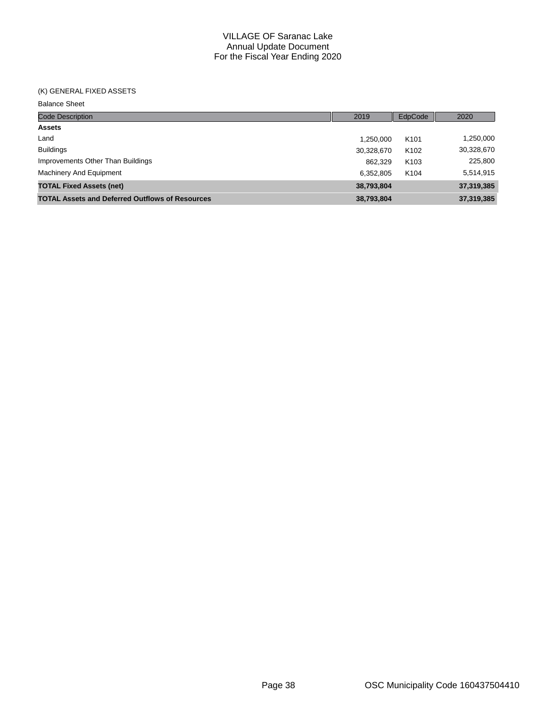### (K) GENERAL FIXED ASSETS

Balance Sheet

| <b>Code Description</b>                                | 2019       | EdpCode          | 2020       |
|--------------------------------------------------------|------------|------------------|------------|
| <b>Assets</b>                                          |            |                  |            |
| Land                                                   | 1.250.000  | K <sub>101</sub> | 1,250,000  |
| <b>Buildings</b>                                       | 30,328,670 | K <sub>102</sub> | 30,328,670 |
| Improvements Other Than Buildings                      | 862.329    | K <sub>103</sub> | 225,800    |
| Machinery And Equipment                                | 6,352,805  | K <sub>104</sub> | 5,514,915  |
| <b>TOTAL Fixed Assets (net)</b>                        | 38,793,804 |                  | 37,319,385 |
| <b>TOTAL Assets and Deferred Outflows of Resources</b> | 38,793,804 |                  | 37,319,385 |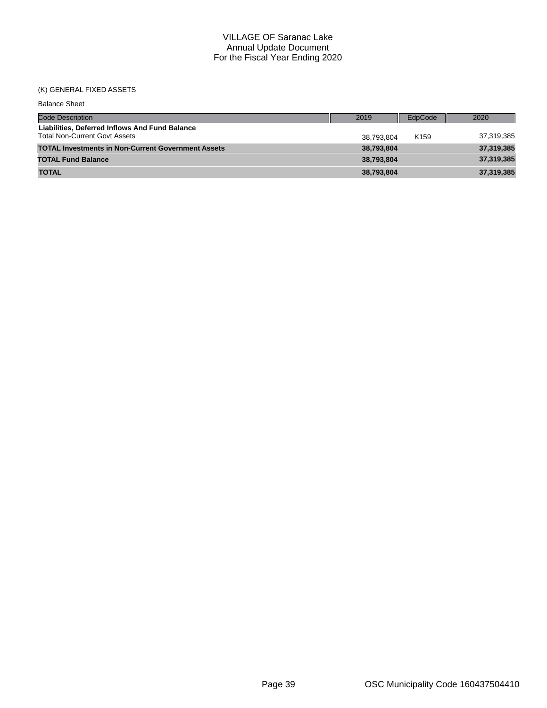## (K) GENERAL FIXED ASSETS

| <b>Balance Sheet</b>                                                                   |            |                  |            |
|----------------------------------------------------------------------------------------|------------|------------------|------------|
| <b>Code Description</b>                                                                | 2019       | EdpCode          | 2020       |
| Liabilities. Deferred Inflows And Fund Balance<br><b>Total Non-Current Govt Assets</b> | 38.793.804 | K <sub>159</sub> | 37,319,385 |
| <b>TOTAL Investments in Non-Current Government Assets</b>                              | 38,793,804 |                  | 37,319,385 |
| <b>TOTAL Fund Balance</b>                                                              | 38,793,804 |                  | 37,319,385 |
| <b>TOTAL</b>                                                                           | 38,793,804 |                  | 37,319,385 |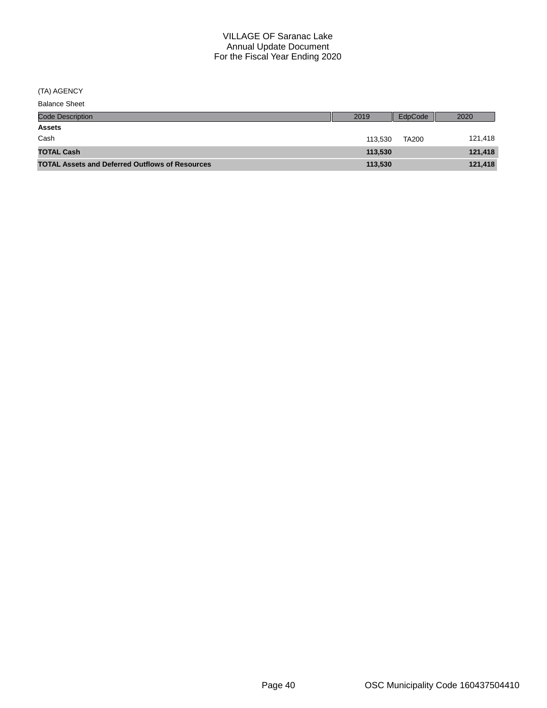(TA) AGENCY

| <b>Balance Sheet</b>                                   |         |              |         |
|--------------------------------------------------------|---------|--------------|---------|
| <b>Code Description</b>                                | 2019    | EdpCode      | 2020    |
| <b>Assets</b>                                          |         |              |         |
| Cash                                                   | 113.530 | <b>TA200</b> | 121,418 |
| <b>TOTAL Cash</b>                                      | 113,530 |              | 121,418 |
| <b>TOTAL Assets and Deferred Outflows of Resources</b> | 113,530 |              | 121,418 |
|                                                        |         |              |         |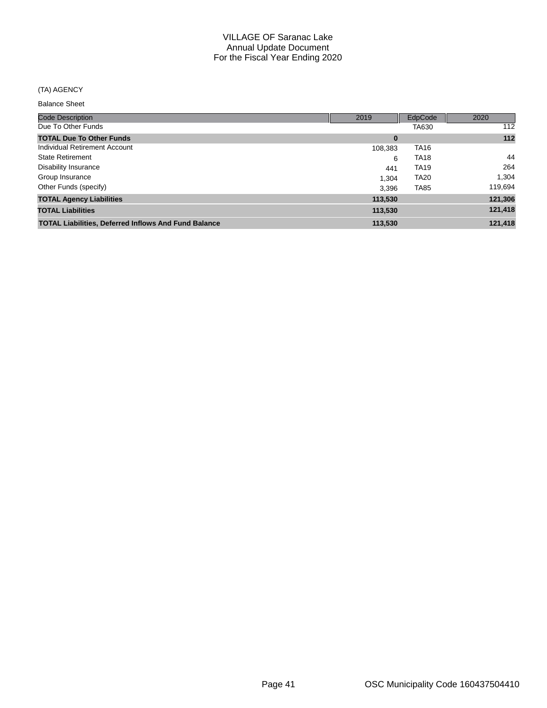## (TA) AGENCY

Balance Sheet

| <b>Code Description</b>                                     | 2019     | EdpCode     | 2020    |
|-------------------------------------------------------------|----------|-------------|---------|
| Due To Other Funds                                          |          | TA630       | 112     |
| <b>TOTAL Due To Other Funds</b>                             | $\bf{0}$ |             | 112     |
| Individual Retirement Account                               | 108,383  | <b>TA16</b> |         |
| <b>State Retirement</b>                                     | 6        | <b>TA18</b> | 44      |
| Disability Insurance                                        | 441      | <b>TA19</b> | 264     |
| Group Insurance                                             | 1.304    | <b>TA20</b> | 1,304   |
| Other Funds (specify)                                       | 3.396    | <b>TA85</b> | 119,694 |
| <b>TOTAL Agency Liabilities</b>                             | 113,530  |             | 121,306 |
| <b>TOTAL Liabilities</b>                                    | 113,530  |             | 121,418 |
| <b>TOTAL Liabilities, Deferred Inflows And Fund Balance</b> | 113,530  |             | 121,418 |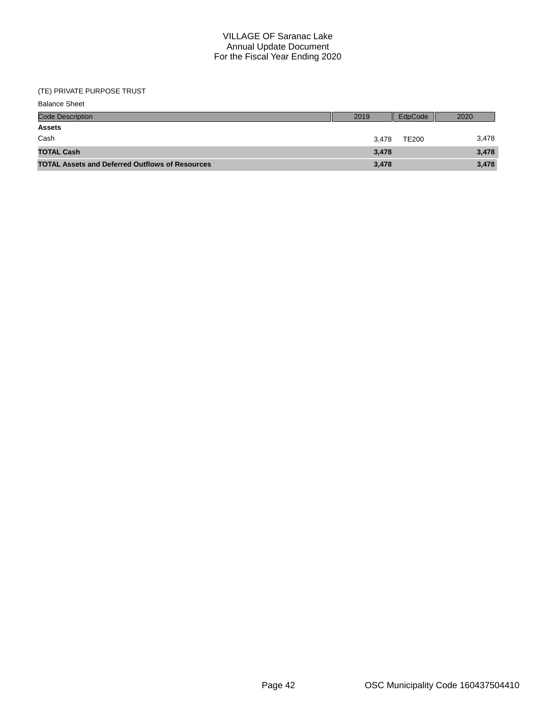### (TE) PRIVATE PURPOSE TRUST

| <b>Balance Sheet</b>                                   |       |              |       |
|--------------------------------------------------------|-------|--------------|-------|
| <b>Code Description</b>                                | 2019  | EdpCode      | 2020  |
| <b>Assets</b>                                          |       |              |       |
| Cash                                                   | 3.478 | <b>TE200</b> | 3,478 |
| <b>TOTAL Cash</b>                                      | 3,478 |              | 3,478 |
| <b>TOTAL Assets and Deferred Outflows of Resources</b> | 3,478 |              | 3,478 |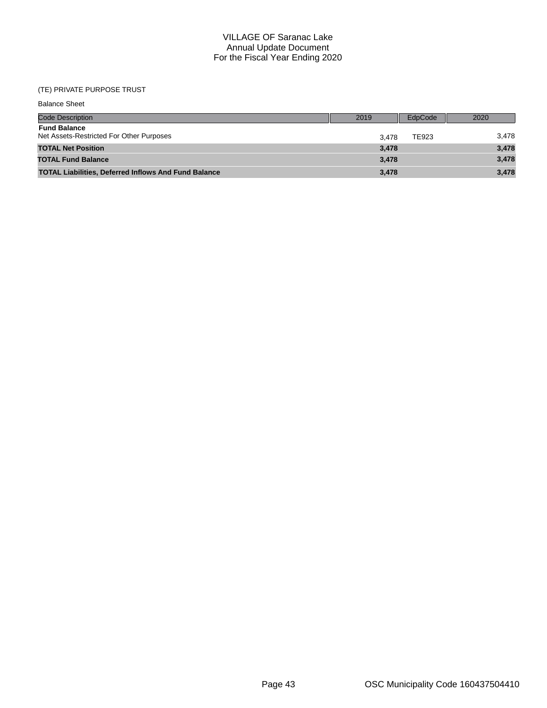## (TE) PRIVATE PURPOSE TRUST

| <b>Balance Sheet</b>                                            |       |         |       |
|-----------------------------------------------------------------|-------|---------|-------|
| <b>Code Description</b>                                         | 2019  | EdpCode | 2020  |
| <b>Fund Balance</b><br>Net Assets-Restricted For Other Purposes | 3.478 | TE923   | 3,478 |
| <b>TOTAL Net Position</b>                                       | 3,478 |         | 3,478 |
| <b>TOTAL Fund Balance</b>                                       | 3,478 |         | 3,478 |
| <b>TOTAL Liabilities, Deferred Inflows And Fund Balance</b>     | 3,478 |         | 3,478 |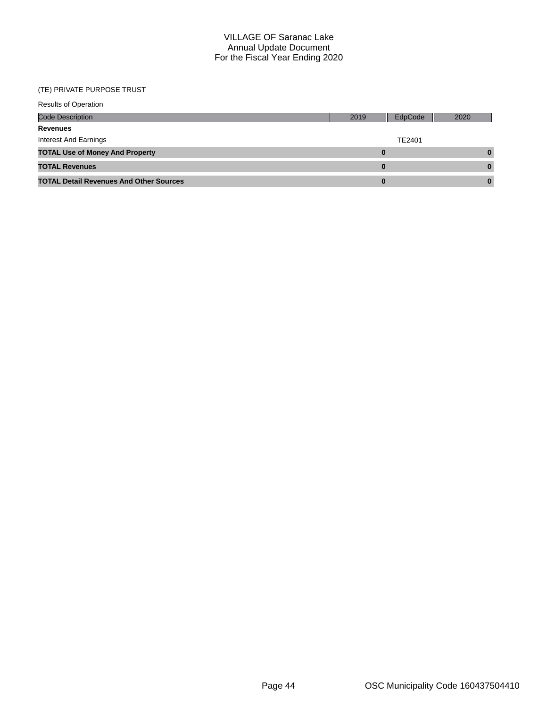## (TE) PRIVATE PURPOSE TRUST

| <b>Results of Operation</b>                    |      |         |          |
|------------------------------------------------|------|---------|----------|
| <b>Code Description</b>                        | 2019 | EdpCode | 2020     |
| Revenues                                       |      |         |          |
| Interest And Earnings                          |      | TE2401  |          |
| <b>TOTAL Use of Money And Property</b>         |      | 0       | $\bf{0}$ |
| <b>TOTAL Revenues</b>                          |      | 0       | $\bf{0}$ |
| <b>TOTAL Detail Revenues And Other Sources</b> |      | 0       | 0        |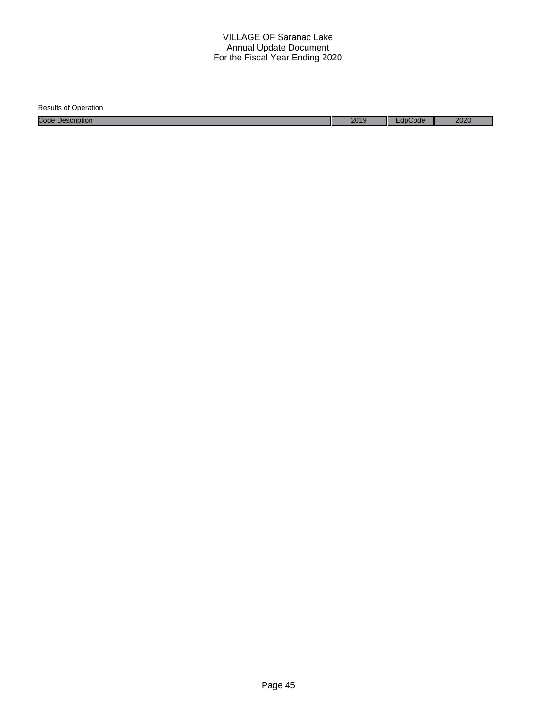| <b>Results of Operation</b> |      |         |      |
|-----------------------------|------|---------|------|
| <b>Code Description</b>     | 2019 | EdpCode | 2020 |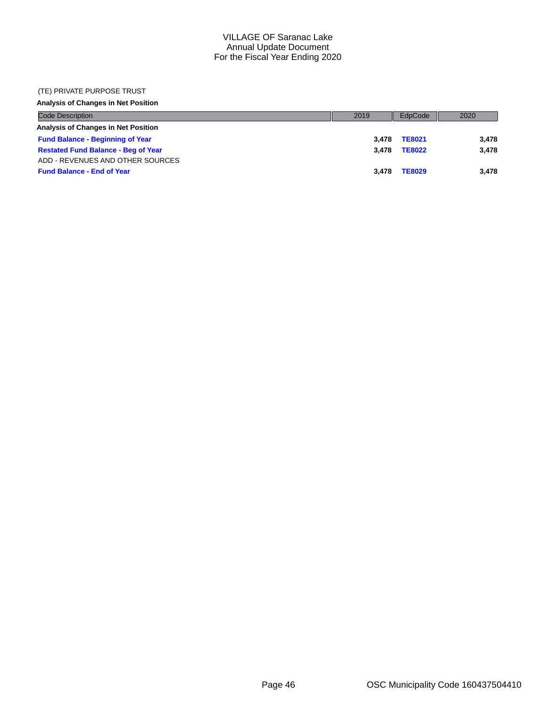#### (TE) PRIVATE PURPOSE TRUST

### **Analysis of Changes in Net Position**

| <b>Code Description</b>                    | 2019  | EdpCode       | 2020  |
|--------------------------------------------|-------|---------------|-------|
| Analysis of Changes in Net Position        |       |               |       |
| <b>Fund Balance - Beginning of Year</b>    | 3.478 | <b>TE8021</b> | 3.478 |
| <b>Restated Fund Balance - Beg of Year</b> | 3.478 | <b>TE8022</b> | 3.478 |
| ADD - REVENUES AND OTHER SOURCES           |       |               |       |
| <b>Fund Balance - End of Year</b>          | 3.478 | <b>TE8029</b> | 3.478 |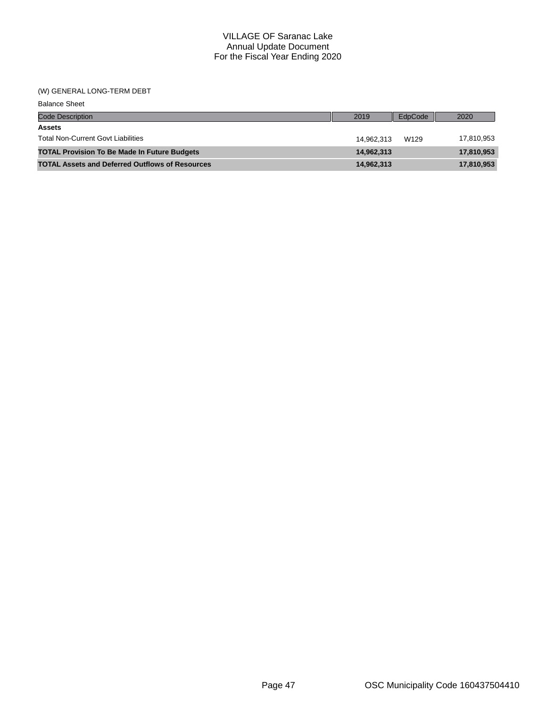#### (W) GENERAL LONG-TERM DEBT

| <b>Balance Sheet</b>                                   |            |         |            |
|--------------------------------------------------------|------------|---------|------------|
| <b>Code Description</b>                                | 2019       | EdpCode | 2020       |
| <b>Assets</b>                                          |            |         |            |
| <b>Total Non-Current Govt Liabilities</b>              | 14.962.313 | W129    | 17,810,953 |
| <b>TOTAL Provision To Be Made In Future Budgets</b>    | 14,962,313 |         | 17,810,953 |
| <b>TOTAL Assets and Deferred Outflows of Resources</b> | 14,962,313 |         | 17,810,953 |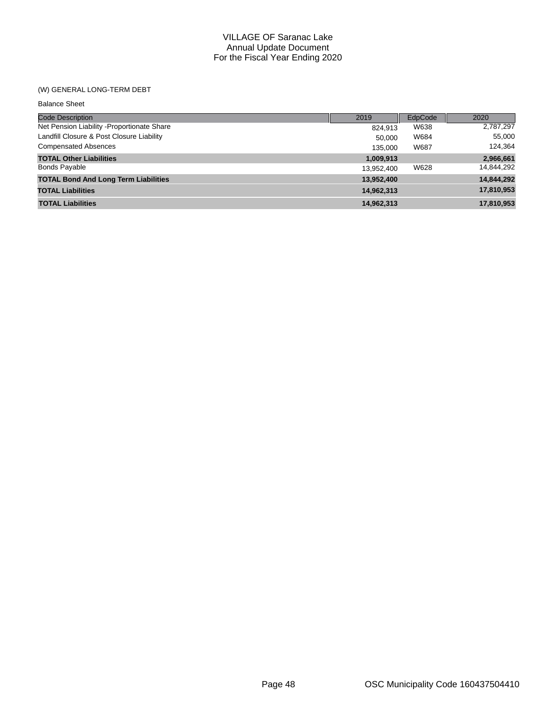## (W) GENERAL LONG-TERM DEBT

| <b>Balance Sheet</b>                        |            |         |            |
|---------------------------------------------|------------|---------|------------|
| Code Description                            | 2019       | EdpCode | 2020       |
| Net Pension Liability - Proportionate Share | 824,913    | W638    | 2,787,297  |
| Landfill Closure & Post Closure Liability   | 50.000     | W684    | 55,000     |
| <b>Compensated Absences</b>                 | 135,000    | W687    | 124,364    |
| <b>TOTAL Other Liabilities</b>              | 1,009,913  |         | 2,966,661  |
| <b>Bonds Payable</b>                        | 13,952,400 | W628    | 14,844,292 |
| <b>TOTAL Bond And Long Term Liabilities</b> | 13,952,400 |         | 14,844,292 |
| <b>TOTAL Liabilities</b>                    | 14,962,313 |         | 17,810,953 |
| <b>TOTAL Liabilities</b>                    | 14,962,313 |         | 17,810,953 |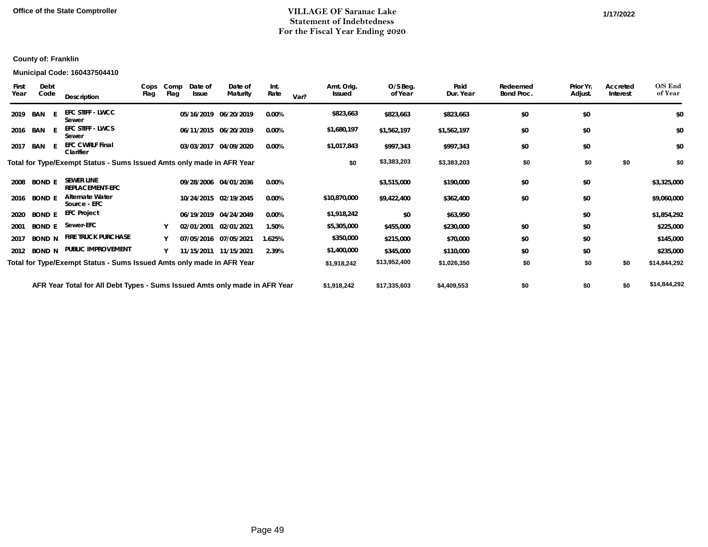## **Office of the State Comptroller 1/17/2022 1/2022 1/17/2020 1/17/2022 1/17/2022 1/17/2022 1/17/2022 1/17/2022 1/17/2022 1/17/2022 1/17/2022 1/17/2022 1/17/2022 1/17/2022 1/17/2022 1/17/2022 Statement of Indebtedness For the Fiscal Year Ending 2020**

#### **Municipal Code: 160437504410**

| First<br>Year | Debt<br>Code  | Description                                                                | Cops<br>Flag | Comp<br>Flag | Date of<br><b>Issue</b> | Date of<br>Maturity   | Int.<br>Rate | Var? | Amt. Orig.<br><b>Issued</b> | O/S Beg.<br>of Year | Paid<br>Dur. Year | Redeemed<br>Bond Proc. | Prior Yr.<br>Adjust. | Accreted<br>Interest | O/S End<br>of Year |
|---------------|---------------|----------------------------------------------------------------------------|--------------|--------------|-------------------------|-----------------------|--------------|------|-----------------------------|---------------------|-------------------|------------------------|----------------------|----------------------|--------------------|
| 2019          | BAN E         | <b>EFC STIFF - LWCC</b><br>Sewer                                           |              |              | 05/16/2019              | 06/20/2019            | 0.00%        |      | \$823,663                   | \$823,663           | \$823,663         | \$0                    | \$0                  |                      | \$0                |
|               | 2016 BAN E    | <b>EFC STIFF - LWCS</b><br>Sewer                                           |              |              |                         | 06/11/2015 06/20/2019 | 0.00%        |      | \$1,680,197                 | \$1,562,197         | \$1,562,197       | \$0                    | \$0                  |                      | \$0                |
| 2017          | BAN           | <b>EFC CWRLF Final</b><br>Clarifier                                        |              |              |                         | 03/03/2017 04/09/2020 | 0.00%        |      | \$1,017,843                 | \$997,343           | \$997,343         | \$0                    | \$0                  |                      | \$0                |
|               |               | Total for Type/Exempt Status - Sums Issued Amts only made in AFR Year      |              |              |                         |                       |              |      | \$0                         | \$3,383,203         | \$3,383,203       | \$0                    | \$0                  | \$0                  | \$0                |
| 2008          | <b>BOND E</b> | <b>SEWER LINE</b><br><b>REPLACEMENT-EFC</b>                                |              |              |                         | 09/28/2006 04/01/2036 | $0.00\%$     |      |                             | \$3,515,000         | \$190,000         | \$0                    | \$0                  |                      | \$3,325,000        |
| 2016          | <b>BOND E</b> | <b>Alternate Water</b><br>Source - EFC                                     |              |              |                         | 10/24/2015 02/19/2045 | 0.00%        |      | \$10,870,000                | \$9,422,400         | \$362,400         | \$0                    | \$0                  |                      | \$9,060,000        |
| 2020          | <b>BOND E</b> | <b>EFC Project</b>                                                         |              |              |                         | 06/19/2019 04/24/2049 | 0.00%        |      | \$1,918,242                 | \$0                 | \$63,950          |                        | \$0                  |                      | \$1,854,292        |
| 2001          | <b>BOND E</b> | Sewer-EFC                                                                  |              |              |                         | 02/01/2001 02/01/2021 | 1.50%        |      | \$5,305,000                 | \$455,000           | \$230,000         | \$0                    | \$0                  |                      | \$225,000          |
| 2017          | <b>BOND N</b> | <b>FIRE TRUCK PURCHASE</b>                                                 |              |              |                         | 07/05/2016 07/05/2021 | 1.625%       |      | \$350,000                   | \$215,000           | \$70,000          | \$0                    | \$0                  |                      | \$145,000          |
| 2012          | <b>BOND N</b> | PUBLIC IMPROVEMENT                                                         |              |              |                         | 11/15/2011 11/15/2021 | 2.39%        |      | \$1,400,000                 | \$345,000           | \$110,000         | \$0                    | \$0                  |                      | \$235,000          |
|               |               | Total for Type/Exempt Status - Sums Issued Amts only made in AFR Year      |              |              |                         |                       |              |      | \$1,918,242                 | \$13,952,400        | \$1,026,350       | \$0                    | \$0                  | \$0                  | \$14,844,292       |
|               |               | AFR Year Total for All Debt Types - Sums Issued Amts only made in AFR Year |              |              |                         |                       |              |      | \$1,918,242                 | \$17,335,603        | \$4,409,553       | \$0                    | \$0                  | \$0                  | \$14,844,292       |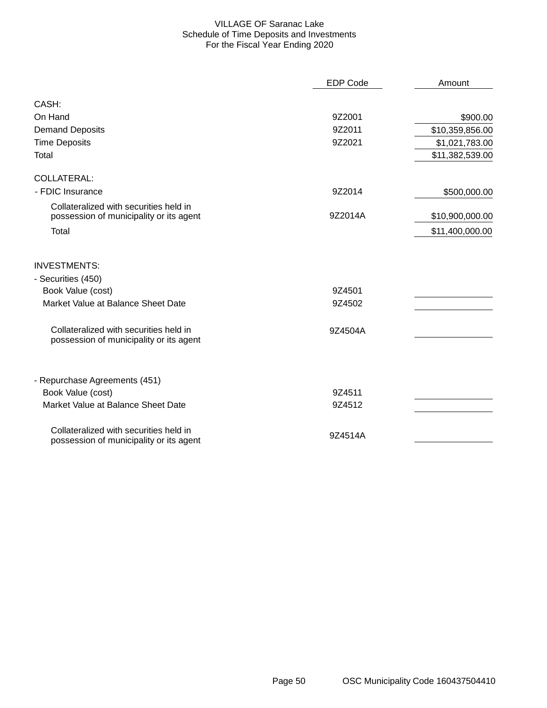### VILLAGE OF Saranac Lake Schedule of Time Deposits and Investments For the Fiscal Year Ending 2020

|                                                                                   | <b>EDP Code</b> | Amount          |
|-----------------------------------------------------------------------------------|-----------------|-----------------|
| CASH:                                                                             |                 |                 |
| On Hand                                                                           | 9Z2001          | \$900.00        |
| <b>Demand Deposits</b>                                                            | 9Z2011          | \$10,359,856.00 |
| <b>Time Deposits</b>                                                              | 9Z2021          | \$1,021,783.00  |
| Total                                                                             |                 | \$11,382,539.00 |
| <b>COLLATERAL:</b>                                                                |                 |                 |
| - FDIC Insurance                                                                  | 9Z2014          | \$500,000.00    |
| Collateralized with securities held in<br>possession of municipality or its agent | 9Z2014A         | \$10,900,000.00 |
| Total                                                                             |                 | \$11,400,000.00 |
| <b>INVESTMENTS:</b>                                                               |                 |                 |
| - Securities (450)                                                                |                 |                 |
| Book Value (cost)                                                                 | 9Z4501          |                 |
| Market Value at Balance Sheet Date                                                | 9Z4502          |                 |
| Collateralized with securities held in<br>possession of municipality or its agent | 9Z4504A         |                 |
| - Repurchase Agreements (451)                                                     |                 |                 |
| Book Value (cost)                                                                 | 9Z4511          |                 |
| Market Value at Balance Sheet Date                                                | 9Z4512          |                 |
| Collateralized with securities held in<br>possession of municipality or its agent | 9Z4514A         |                 |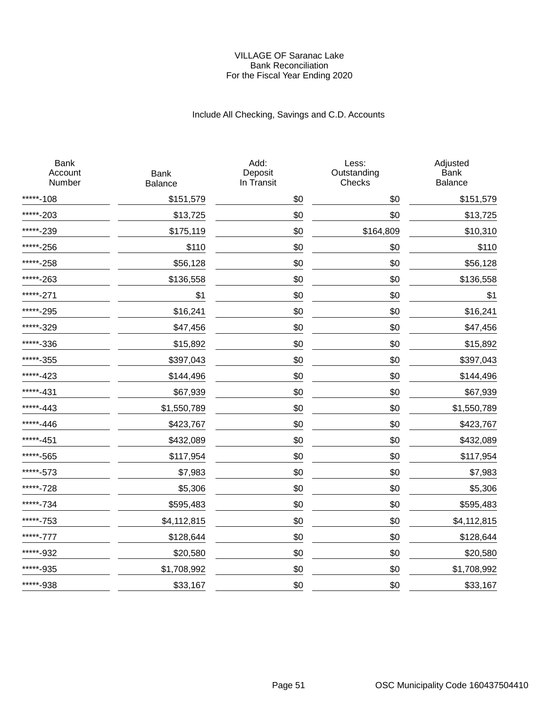#### VILLAGE OF Saranac Lake Bank Reconciliation For the Fiscal Year Ending 2020

# Include All Checking, Savings and C.D. Accounts

| <b>Bank</b><br>Account<br>Number | <b>Bank</b><br>Balance | Add:<br>Deposit<br>In Transit | Less:<br>Outstanding<br>Checks | Adjusted<br><b>Bank</b><br>Balance |
|----------------------------------|------------------------|-------------------------------|--------------------------------|------------------------------------|
| *****-108                        | \$151,579              | \$0                           | \$0                            | \$151,579                          |
| *****-203                        | \$13,725               | \$0                           | \$0                            | \$13,725                           |
| *****-239                        | \$175,119              | \$0                           | \$164,809                      | \$10,310                           |
| *****-256                        | \$110                  | \$0                           | \$0                            | \$110                              |
| *****-258                        | \$56,128               | \$0                           | \$0                            | \$56,128                           |
| *****-263                        | \$136,558              | \$0                           | \$0                            | \$136,558                          |
| *****-271                        | \$1                    | \$0                           | \$0                            | \$1                                |
| *****-295                        | \$16,241               | \$0                           | \$0                            | \$16,241                           |
| *****-329                        | \$47,456               | \$0                           | \$0                            | \$47,456                           |
| *****-336                        | \$15,892               | \$0                           | \$0                            | \$15,892                           |
| *****-355                        | \$397,043              | \$0                           | \$0                            | \$397,043                          |
| *****-423                        | \$144,496              | \$0                           | \$0                            | \$144,496                          |
| *****-431                        | \$67,939               | \$0                           | \$0                            | \$67,939                           |
| *****-443                        | \$1,550,789            | \$0                           | \$0                            | \$1,550,789                        |
| *****-446                        | \$423,767              | \$0                           | \$0                            | \$423,767                          |
| *****-451                        | \$432,089              | \$0                           | \$0                            | \$432,089                          |
| *****-565                        | \$117,954              | \$0                           | \$0                            | \$117,954                          |
| *****-573                        | \$7,983                | \$0                           | \$0                            | \$7,983                            |
| *****-728                        | \$5,306                | \$0                           | \$0                            | \$5,306                            |
| *****-734                        | \$595,483              | \$0                           | \$0                            | \$595,483                          |
| *****-753                        | \$4,112,815            | \$0                           | \$0                            | \$4,112,815                        |
| *****-777                        | \$128,644              | \$0                           | \$0                            | \$128,644                          |
| *****-932                        | \$20,580               | \$0                           | \$0                            | \$20,580                           |
| *****-935                        | \$1,708,992            | \$0                           | \$0                            | \$1,708,992                        |
| *****-938                        | \$33,167               | \$0                           | \$0                            | \$33,167                           |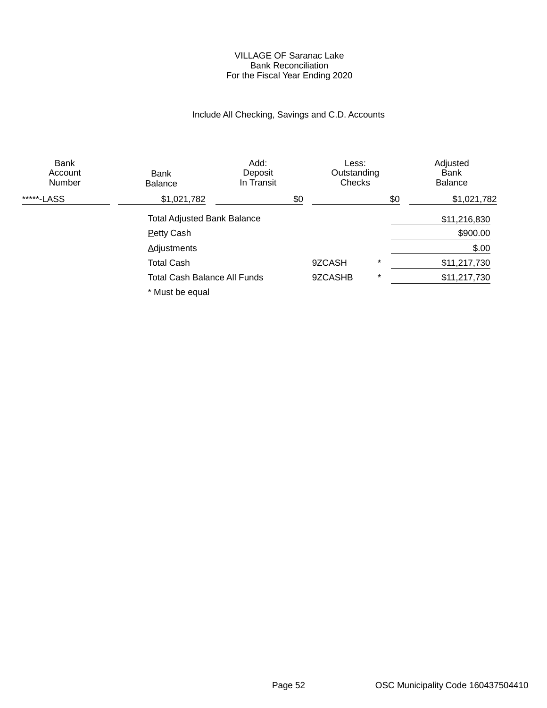#### VILLAGE OF Saranac Lake Bank Reconciliation For the Fiscal Year Ending 2020

# Include All Checking, Savings and C.D. Accounts

| <b>Bank</b><br>Account<br>Number | Bank<br><b>Balance</b>              | Add:<br>Deposit<br>In Transit |     | Less:<br>Outstanding<br>Checks |         |     | Adjusted<br>Bank<br><b>Balance</b> |  |
|----------------------------------|-------------------------------------|-------------------------------|-----|--------------------------------|---------|-----|------------------------------------|--|
| *****-LASS                       | \$1,021,782                         |                               | \$0 |                                |         | \$0 | \$1,021,782                        |  |
|                                  | <b>Total Adjusted Bank Balance</b>  |                               |     |                                |         |     | \$11,216,830                       |  |
|                                  | <b>Petty Cash</b>                   |                               |     |                                |         |     | \$900.00                           |  |
|                                  | <b>Adjustments</b>                  |                               |     |                                |         |     | \$.00                              |  |
|                                  | <b>Total Cash</b>                   |                               |     | 9ZCASH                         | $\star$ |     | \$11,217,730                       |  |
|                                  | <b>Total Cash Balance All Funds</b> |                               |     | 9ZCASHB                        | $\star$ |     | \$11,217,730                       |  |
|                                  | * Must be equal                     |                               |     |                                |         |     |                                    |  |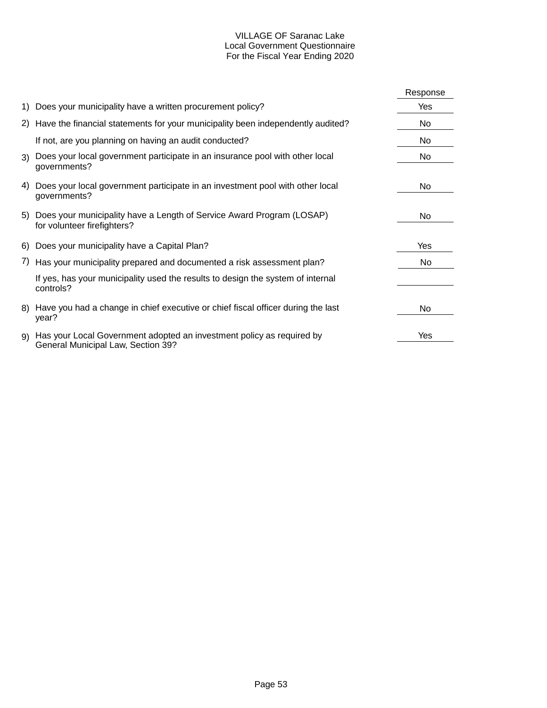## VILLAGE OF Saranac Lake Local Government Questionnaire For the Fiscal Year Ending 2020

|    |                                                                                                             | Response |
|----|-------------------------------------------------------------------------------------------------------------|----------|
|    | 1) Does your municipality have a written procurement policy?                                                | Yes      |
|    | 2) Have the financial statements for your municipality been independently audited?                          | No       |
|    | If not, are you planning on having an audit conducted?                                                      | No       |
|    | 3) Does your local government participate in an insurance pool with other local<br>governments?             | No       |
| 4) | Does your local government participate in an investment pool with other local<br>governments?               | No       |
|    | 5) Does your municipality have a Length of Service Award Program (LOSAP)<br>for volunteer firefighters?     | No       |
|    | 6) Does your municipality have a Capital Plan?                                                              | Yes      |
|    | 7) Has your municipality prepared and documented a risk assessment plan?                                    | No       |
|    | If yes, has your municipality used the results to design the system of internal<br>controls?                |          |
|    | 8) Have you had a change in chief executive or chief fiscal officer during the last<br>year?                | No       |
| 9) | Has your Local Government adopted an investment policy as required by<br>General Municipal Law, Section 39? | Yes      |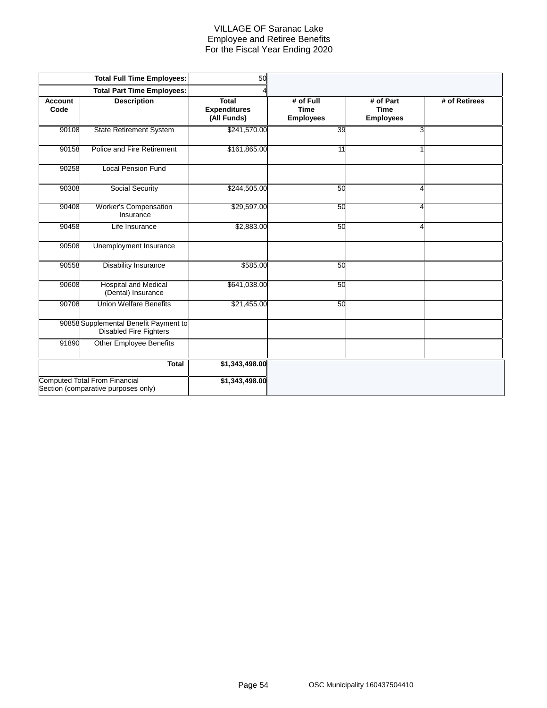### VILLAGE OF Saranac Lake Employee and Retiree Benefits For the Fiscal Year Ending 2020

|                        | <b>Total Full Time Employees:</b>                                           | 50                                                 |                                              |                                              |               |
|------------------------|-----------------------------------------------------------------------------|----------------------------------------------------|----------------------------------------------|----------------------------------------------|---------------|
|                        | <b>Total Part Time Employees:</b>                                           |                                                    |                                              |                                              |               |
| <b>Account</b><br>Code | <b>Description</b>                                                          | <b>Total</b><br><b>Expenditures</b><br>(All Funds) | # of Full<br><b>Time</b><br><b>Employees</b> | # of Part<br><b>Time</b><br><b>Employees</b> | # of Retirees |
| 90108                  | <b>State Retirement System</b>                                              | \$241,570.00                                       | 39                                           | 3                                            |               |
| 90158                  | Police and Fire Retirement                                                  | \$161,865.00                                       | 11                                           |                                              |               |
| 90258                  | <b>Local Pension Fund</b>                                                   |                                                    |                                              |                                              |               |
| 90308                  | Social Security                                                             | \$244,505.00                                       | 50                                           | Λ                                            |               |
| 90408                  | <b>Worker's Compensation</b><br>Insurance                                   | \$29,597.00                                        | 50                                           | 4                                            |               |
| 90458                  | Life Insurance                                                              | \$2,883.00                                         | 50                                           | 4                                            |               |
| 90508                  | Unemployment Insurance                                                      |                                                    |                                              |                                              |               |
| 90558                  | <b>Disability Insurance</b>                                                 | \$585.00                                           | 50                                           |                                              |               |
| 90608                  | <b>Hospital and Medical</b><br>(Dental) Insurance                           | \$641,038.00                                       | 50                                           |                                              |               |
| 90708                  | <b>Union Welfare Benefits</b>                                               | \$21,455.00                                        | 50                                           |                                              |               |
|                        | 90858 Supplemental Benefit Payment to<br><b>Disabled Fire Fighters</b>      |                                                    |                                              |                                              |               |
| 91890                  | <b>Other Employee Benefits</b>                                              |                                                    |                                              |                                              |               |
|                        | Total                                                                       | \$1,343,498.00                                     |                                              |                                              |               |
|                        | <b>Computed Total From Financial</b><br>Section (comparative purposes only) | \$1,343,498.00                                     |                                              |                                              |               |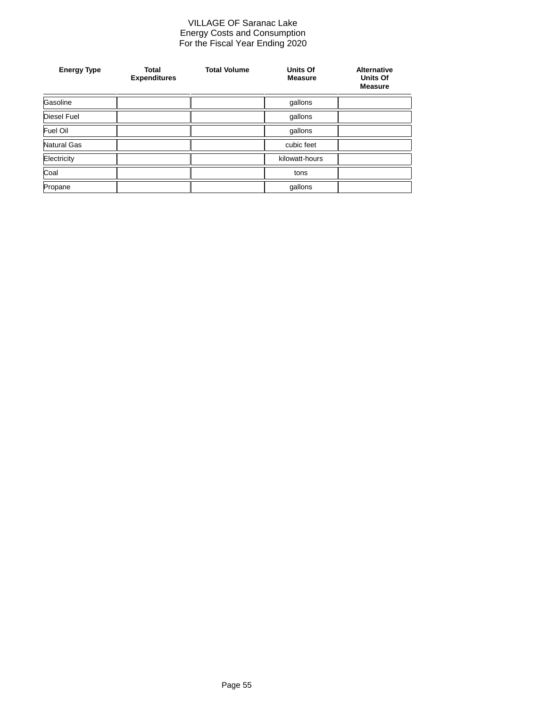#### VILLAGE OF Saranac Lake Energy Costs and Consumption For the Fiscal Year Ending 2020

| <b>Energy Type</b> | <b>Total</b><br><b>Expenditures</b> | <b>Total Volume</b> | Units Of<br><b>Measure</b> | <b>Alternative</b><br><b>Units Of</b><br><b>Measure</b> |
|--------------------|-------------------------------------|---------------------|----------------------------|---------------------------------------------------------|
| Gasoline           |                                     |                     | gallons                    |                                                         |
| Diesel Fuel        |                                     |                     | gallons                    |                                                         |
| Fuel Oil           |                                     |                     | gallons                    |                                                         |
| Natural Gas        |                                     |                     | cubic feet                 |                                                         |
| Electricity        |                                     |                     | kilowatt-hours             |                                                         |
| Coal               |                                     |                     | tons                       |                                                         |
| Propane            |                                     |                     | gallons                    |                                                         |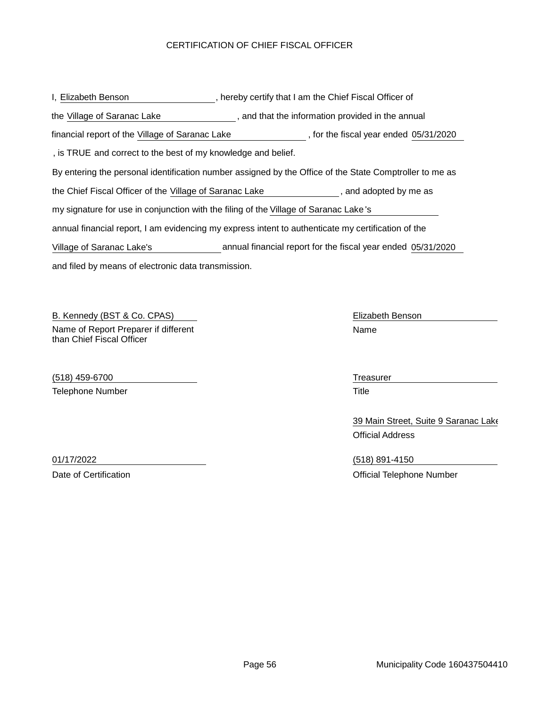## CERTIFICATION OF CHIEF FISCAL OFFICER

| I, Elizabeth Benson                                                                                     |  | , hereby certify that I am the Chief Fiscal Officer of       |  |  |  |  |  |
|---------------------------------------------------------------------------------------------------------|--|--------------------------------------------------------------|--|--|--|--|--|
| the Village of Saranac Lake                                                                             |  | , and that the information provided in the annual            |  |  |  |  |  |
| financial report of the Village of Saranac Lake                                                         |  | , for the fiscal year ended 05/31/2020                       |  |  |  |  |  |
| , is TRUE and correct to the best of my knowledge and belief.                                           |  |                                                              |  |  |  |  |  |
| By entering the personal identification number assigned by the Office of the State Comptroller to me as |  |                                                              |  |  |  |  |  |
| the Chief Fiscal Officer of the Village of Saranac Lake<br>, and adopted by me as                       |  |                                                              |  |  |  |  |  |
| my signature for use in conjunction with the filing of the Village of Saranac Lake's                    |  |                                                              |  |  |  |  |  |
| annual financial report, I am evidencing my express intent to authenticate my certification of the      |  |                                                              |  |  |  |  |  |
| Village of Saranac Lake's                                                                               |  | annual financial report for the fiscal year ended 05/31/2020 |  |  |  |  |  |
| and filed by means of electronic data transmission.                                                     |  |                                                              |  |  |  |  |  |

B. Kennedy (BST & Co. CPAS) Compared to the Elizabeth Benson Compared to the Elizabeth Benson Name of Report Preparer if different than Chief Fiscal Officer

(518) 459-6700 Treasurer Telephone Number Title

Name

39 Main Street, Suite 9 Saranac Lake Official Address

01/17/2022 (518) 891-4150 Date of Certification **Date of Certification Date of Certification Official Telephone Number**